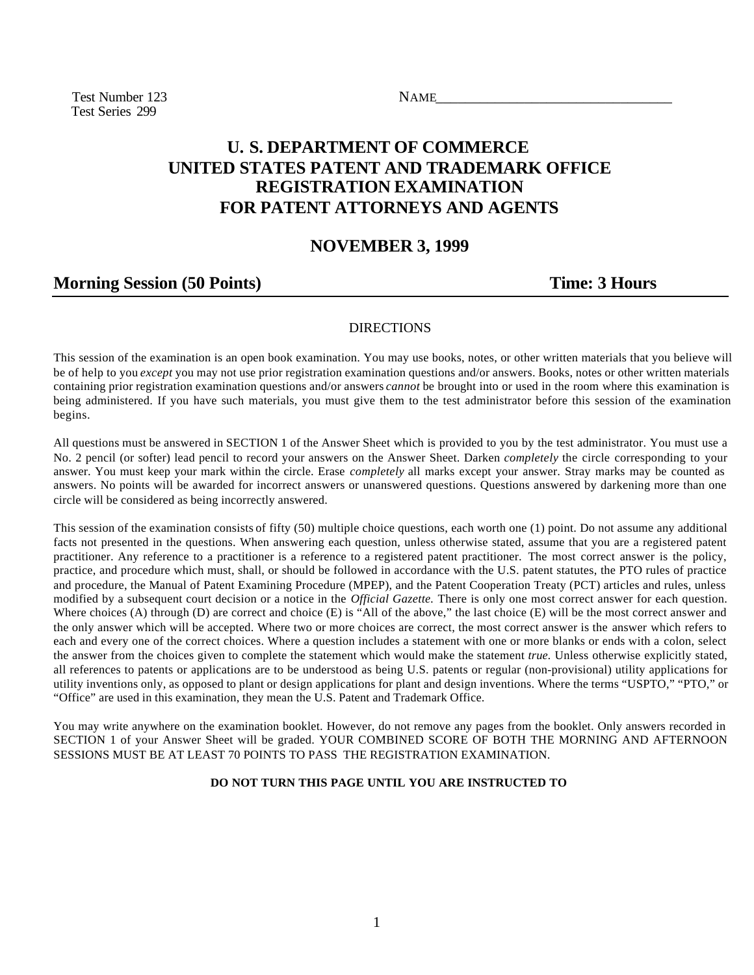Test Number 123 NAME Test Series 299

# **U. S. DEPARTMENT OF COMMERCE UNITED STATES PATENT AND TRADEMARK OFFICE REGISTRATION EXAMINATION FOR PATENT ATTORNEYS AND AGENTS**

### **NOVEMBER 3, 1999**

## **Morning Session (50 Points)** Time: 3 Hours

#### DIRECTIONS

This session of the examination is an open book examination. You may use books, notes, or other written materials that you believe will be of help to you *except* you may not use prior registration examination questions and/or answers. Books, notes or other written materials containing prior registration examination questions and/or answers *cannot* be brought into or used in the room where this examination is being administered. If you have such materials, you must give them to the test administrator before this session of the examination begins.

All questions must be answered in SECTION 1 of the Answer Sheet which is provided to you by the test administrator. You must use a No. 2 pencil (or softer) lead pencil to record your answers on the Answer Sheet. Darken *completely* the circle corresponding to your answer. You must keep your mark within the circle. Erase *completely* all marks except your answer. Stray marks may be counted as answers. No points will be awarded for incorrect answers or unanswered questions. Questions answered by darkening more than one circle will be considered as being incorrectly answered.

This session of the examination consists of fifty (50) multiple choice questions, each worth one (1) point. Do not assume any additional facts not presented in the questions. When answering each question, unless otherwise stated, assume that you are a registered patent practitioner. Any reference to a practitioner is a reference to a registered patent practitioner. The most correct answer is the policy, practice, and procedure which must, shall, or should be followed in accordance with the U.S. patent statutes, the PTO rules of practice and procedure, the Manual of Patent Examining Procedure (MPEP), and the Patent Cooperation Treaty (PCT) articles and rules, unless modified by a subsequent court decision or a notice in the *Official Gazette.* There is only one most correct answer for each question. Where choices (A) through (D) are correct and choice (E) is "All of the above," the last choice (E) will be the most correct answer and the only answer which will be accepted. Where two or more choices are correct, the most correct answer is the answer which refers to each and every one of the correct choices. Where a question includes a statement with one or more blanks or ends with a colon, select the answer from the choices given to complete the statement which would make the statement *true.* Unless otherwise explicitly stated, all references to patents or applications are to be understood as being U.S. patents or regular (non-provisional) utility applications for utility inventions only, as opposed to plant or design applications for plant and design inventions. Where the terms "USPTO," "PTO," or "Office" are used in this examination, they mean the U.S. Patent and Trademark Office.

You may write anywhere on the examination booklet. However, do not remove any pages from the booklet. Only answers recorded in SECTION 1 of your Answer Sheet will be graded. YOUR COMBINED SCORE OF BOTH THE MORNING AND AFTERNOON SESSIONS MUST BE AT LEAST 70 POINTS TO PASS THE REGISTRATION EXAMINATION.

#### **DO NOT TURN THIS PAGE UNTIL YOU ARE INSTRUCTED TO**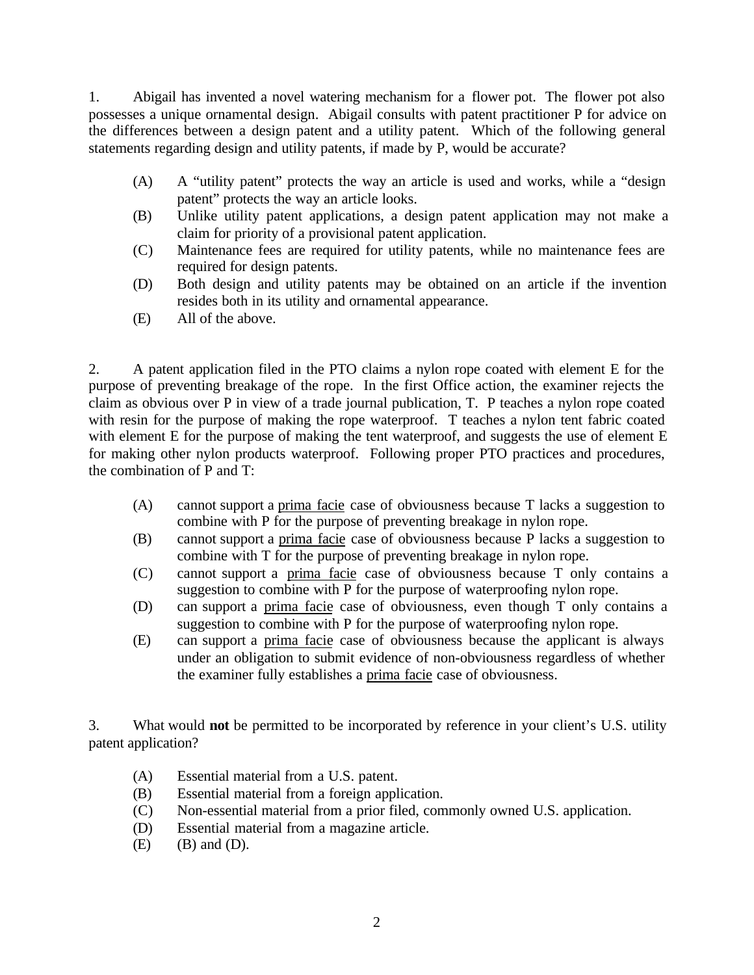1. Abigail has invented a novel watering mechanism for a flower pot. The flower pot also possesses a unique ornamental design. Abigail consults with patent practitioner P for advice on the differences between a design patent and a utility patent. Which of the following general statements regarding design and utility patents, if made by P, would be accurate?

- (A) A "utility patent" protects the way an article is used and works, while a "design patent" protects the way an article looks.
- (B) Unlike utility patent applications, a design patent application may not make a claim for priority of a provisional patent application.
- (C) Maintenance fees are required for utility patents, while no maintenance fees are required for design patents.
- (D) Both design and utility patents may be obtained on an article if the invention resides both in its utility and ornamental appearance.
- (E) All of the above.

2. A patent application filed in the PTO claims a nylon rope coated with element E for the purpose of preventing breakage of the rope. In the first Office action, the examiner rejects the claim as obvious over P in view of a trade journal publication, T. P teaches a nylon rope coated with resin for the purpose of making the rope waterproof. T teaches a nylon tent fabric coated with element E for the purpose of making the tent waterproof, and suggests the use of element E for making other nylon products waterproof. Following proper PTO practices and procedures, the combination of P and T:

- (A) cannot support a prima facie case of obviousness because T lacks a suggestion to combine with P for the purpose of preventing breakage in nylon rope.
- (B) cannot support a prima facie case of obviousness because P lacks a suggestion to combine with T for the purpose of preventing breakage in nylon rope.
- (C) cannot support a prima facie case of obviousness because T only contains a suggestion to combine with P for the purpose of waterproofing nylon rope.
- (D) can support a prima facie case of obviousness, even though T only contains a suggestion to combine with P for the purpose of waterproofing nylon rope.
- (E) can support a prima facie case of obviousness because the applicant is always under an obligation to submit evidence of non-obviousness regardless of whether the examiner fully establishes a prima facie case of obviousness.

3. What would **not** be permitted to be incorporated by reference in your client's U.S. utility patent application?

- (A) Essential material from a U.S. patent.
- (B) Essential material from a foreign application.
- (C) Non-essential material from a prior filed, commonly owned U.S. application.
- (D) Essential material from a magazine article.
- $(E)$  (B) and  $(D)$ .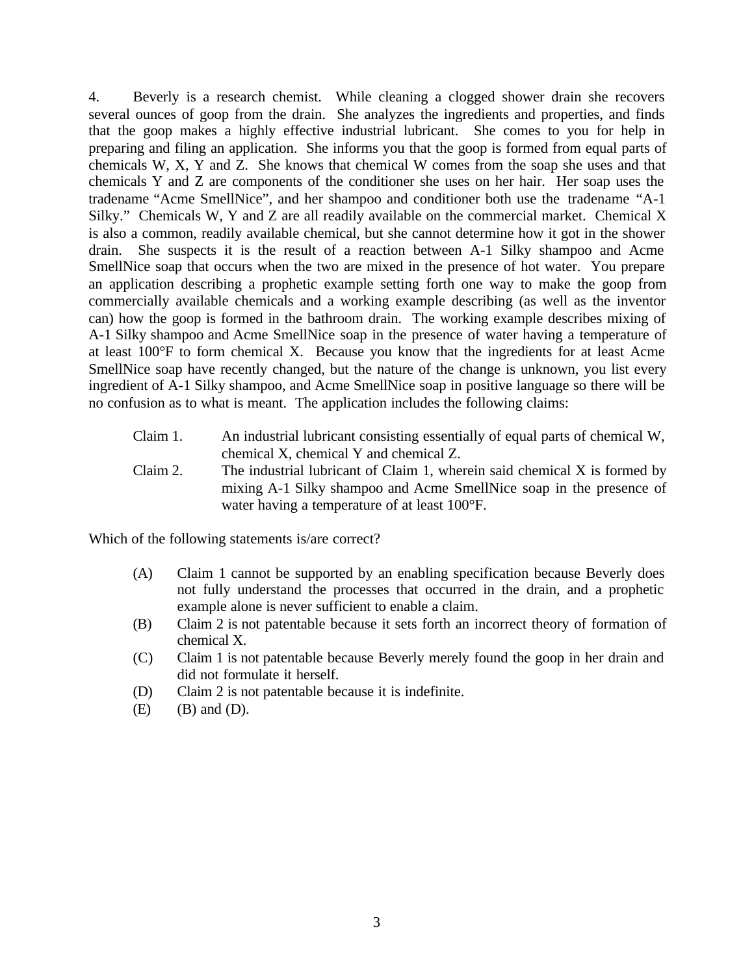4. Beverly is a research chemist. While cleaning a clogged shower drain she recovers several ounces of goop from the drain. She analyzes the ingredients and properties, and finds that the goop makes a highly effective industrial lubricant. She comes to you for help in preparing and filing an application. She informs you that the goop is formed from equal parts of chemicals W, X, Y and Z. She knows that chemical W comes from the soap she uses and that chemicals Y and Z are components of the conditioner she uses on her hair. Her soap uses the tradename "Acme SmellNice", and her shampoo and conditioner both use the tradename "A-1 Silky." Chemicals W, Y and Z are all readily available on the commercial market. Chemical X is also a common, readily available chemical, but she cannot determine how it got in the shower drain. She suspects it is the result of a reaction between A-1 Silky shampoo and Acme SmellNice soap that occurs when the two are mixed in the presence of hot water. You prepare an application describing a prophetic example setting forth one way to make the goop from commercially available chemicals and a working example describing (as well as the inventor can) how the goop is formed in the bathroom drain. The working example describes mixing of A-1 Silky shampoo and Acme SmellNice soap in the presence of water having a temperature of at least 100°F to form chemical X. Because you know that the ingredients for at least Acme SmellNice soap have recently changed, but the nature of the change is unknown, you list every ingredient of A-1 Silky shampoo, and Acme SmellNice soap in positive language so there will be no confusion as to what is meant. The application includes the following claims:

- Claim 1. An industrial lubricant consisting essentially of equal parts of chemical W, chemical X, chemical Y and chemical Z.
- Claim 2. The industrial lubricant of Claim 1, wherein said chemical X is formed by mixing A-1 Silky shampoo and Acme SmellNice soap in the presence of water having a temperature of at least 100°F.

Which of the following statements is/are correct?

- (A) Claim 1 cannot be supported by an enabling specification because Beverly does not fully understand the processes that occurred in the drain, and a prophetic example alone is never sufficient to enable a claim.
- (B) Claim 2 is not patentable because it sets forth an incorrect theory of formation of chemical X.
- (C) Claim 1 is not patentable because Beverly merely found the goop in her drain and did not formulate it herself.
- (D) Claim 2 is not patentable because it is indefinite.
- $(E)$   $(B)$  and  $(D)$ .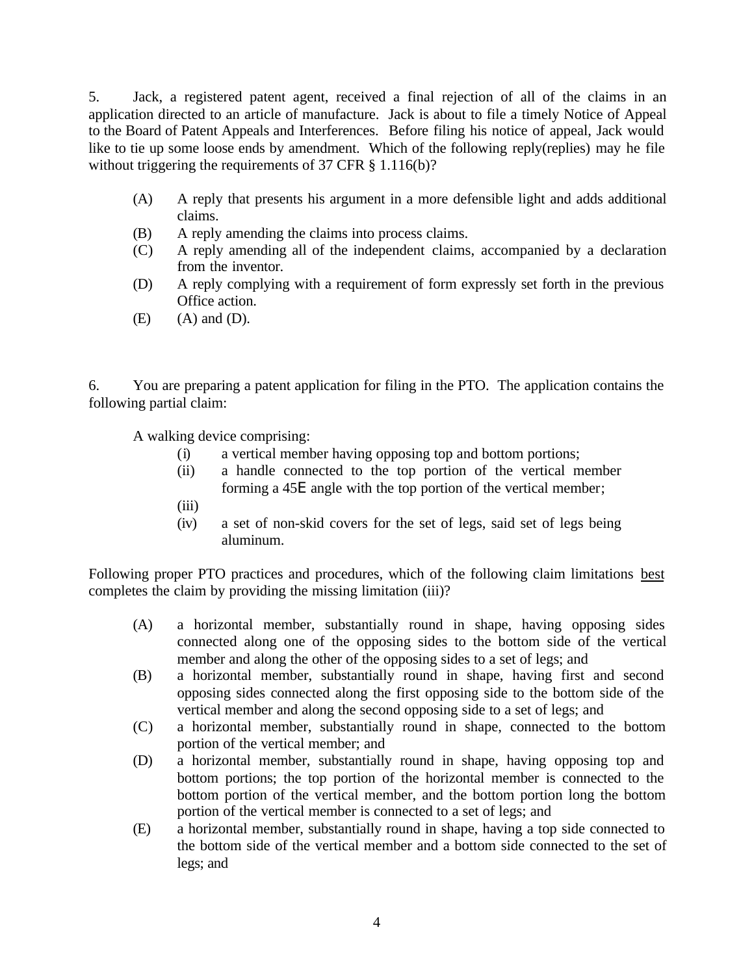5. Jack, a registered patent agent, received a final rejection of all of the claims in an application directed to an article of manufacture. Jack is about to file a timely Notice of Appeal to the Board of Patent Appeals and Interferences. Before filing his notice of appeal, Jack would like to tie up some loose ends by amendment. Which of the following reply(replies) may he file without triggering the requirements of 37 CFR § 1.116(b)?

- (A) A reply that presents his argument in a more defensible light and adds additional claims.
- (B) A reply amending the claims into process claims.
- (C) A reply amending all of the independent claims, accompanied by a declaration from the inventor.
- (D) A reply complying with a requirement of form expressly set forth in the previous Office action.
- $(E)$   $(A)$  and  $(D)$ .

6. You are preparing a patent application for filing in the PTO. The application contains the following partial claim:

A walking device comprising:

- (i) a vertical member having opposing top and bottom portions;
- (ii) a handle connected to the top portion of the vertical member forming a 45Ε angle with the top portion of the vertical member;
- (iii)
- (iv) a set of non-skid covers for the set of legs, said set of legs being aluminum.

Following proper PTO practices and procedures, which of the following claim limitations best completes the claim by providing the missing limitation (iii)?

- (A) a horizontal member, substantially round in shape, having opposing sides connected along one of the opposing sides to the bottom side of the vertical member and along the other of the opposing sides to a set of legs; and
- (B) a horizontal member, substantially round in shape, having first and second opposing sides connected along the first opposing side to the bottom side of the vertical member and along the second opposing side to a set of legs; and
- (C) a horizontal member, substantially round in shape, connected to the bottom portion of the vertical member; and
- (D) a horizontal member, substantially round in shape, having opposing top and bottom portions; the top portion of the horizontal member is connected to the bottom portion of the vertical member, and the bottom portion long the bottom portion of the vertical member is connected to a set of legs; and
- (E) a horizontal member, substantially round in shape, having a top side connected to the bottom side of the vertical member and a bottom side connected to the set of legs; and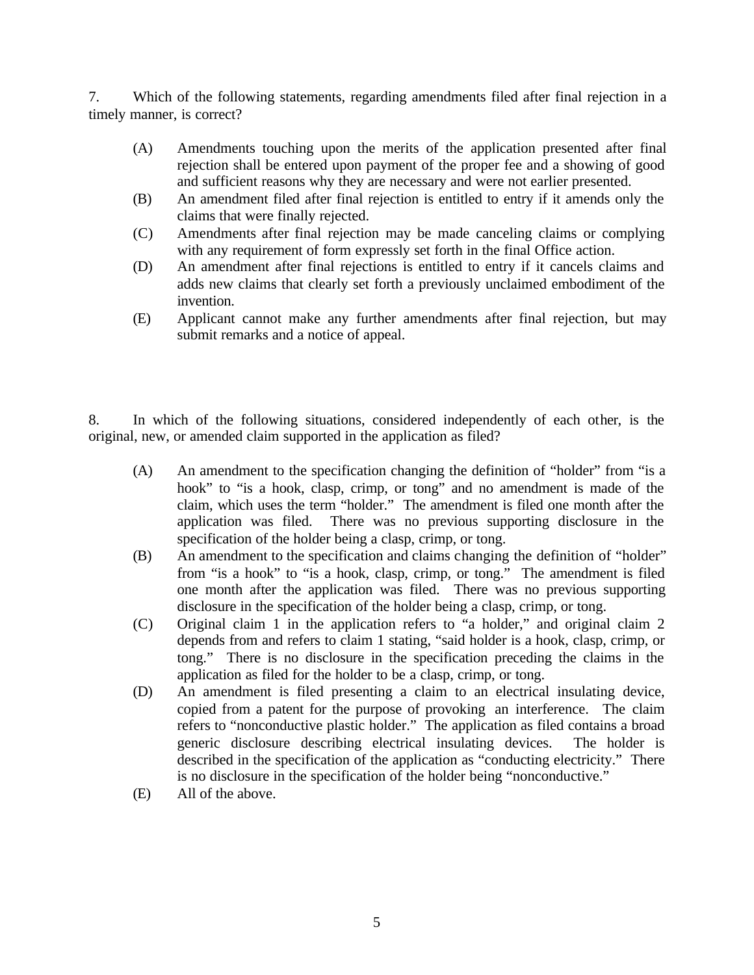7. Which of the following statements, regarding amendments filed after final rejection in a timely manner, is correct?

- (A) Amendments touching upon the merits of the application presented after final rejection shall be entered upon payment of the proper fee and a showing of good and sufficient reasons why they are necessary and were not earlier presented.
- (B) An amendment filed after final rejection is entitled to entry if it amends only the claims that were finally rejected.
- (C) Amendments after final rejection may be made canceling claims or complying with any requirement of form expressly set forth in the final Office action.
- (D) An amendment after final rejections is entitled to entry if it cancels claims and adds new claims that clearly set forth a previously unclaimed embodiment of the invention.
- (E) Applicant cannot make any further amendments after final rejection, but may submit remarks and a notice of appeal.

8. In which of the following situations, considered independently of each other, is the original, new, or amended claim supported in the application as filed?

- (A) An amendment to the specification changing the definition of "holder" from "is a hook" to "is a hook, clasp, crimp, or tong" and no amendment is made of the claim, which uses the term "holder." The amendment is filed one month after the application was filed. There was no previous supporting disclosure in the specification of the holder being a clasp, crimp, or tong.
- (B) An amendment to the specification and claims changing the definition of "holder" from "is a hook" to "is a hook, clasp, crimp, or tong." The amendment is filed one month after the application was filed. There was no previous supporting disclosure in the specification of the holder being a clasp, crimp, or tong.
- (C) Original claim 1 in the application refers to "a holder," and original claim 2 depends from and refers to claim 1 stating, "said holder is a hook, clasp, crimp, or tong." There is no disclosure in the specification preceding the claims in the application as filed for the holder to be a clasp, crimp, or tong.
- (D) An amendment is filed presenting a claim to an electrical insulating device, copied from a patent for the purpose of provoking an interference. The claim refers to "nonconductive plastic holder." The application as filed contains a broad generic disclosure describing electrical insulating devices. The holder is described in the specification of the application as "conducting electricity." There is no disclosure in the specification of the holder being "nonconductive."
- (E) All of the above.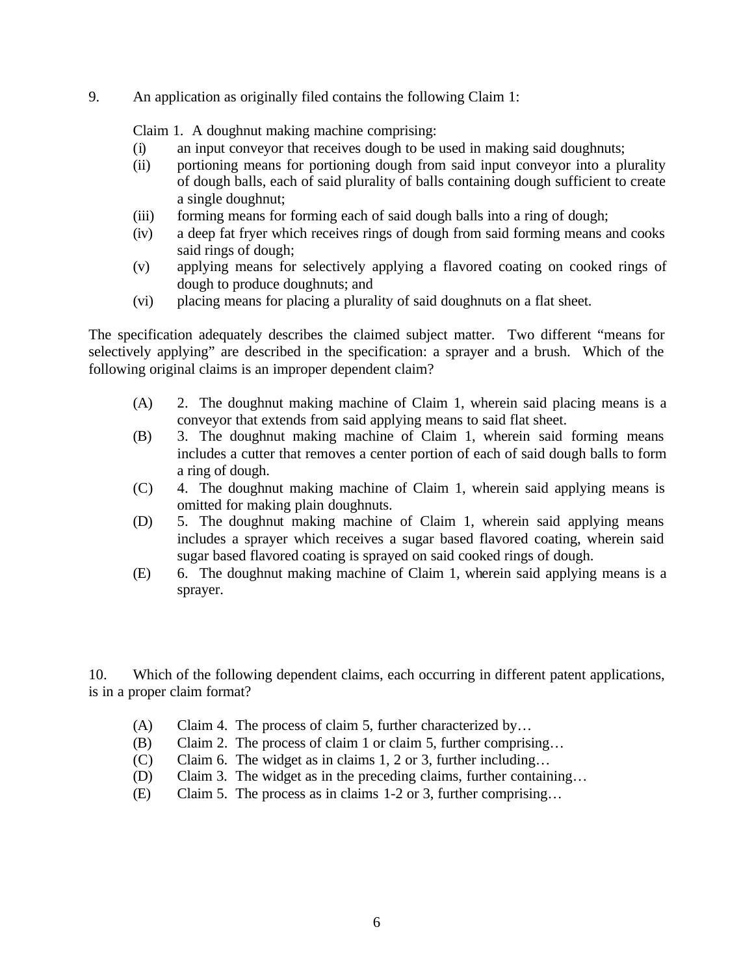9. An application as originally filed contains the following Claim 1:

Claim 1. A doughnut making machine comprising:

- (i) an input conveyor that receives dough to be used in making said doughnuts;
- (ii) portioning means for portioning dough from said input conveyor into a plurality of dough balls, each of said plurality of balls containing dough sufficient to create a single doughnut;
- (iii) forming means for forming each of said dough balls into a ring of dough;
- (iv) a deep fat fryer which receives rings of dough from said forming means and cooks said rings of dough;
- (v) applying means for selectively applying a flavored coating on cooked rings of dough to produce doughnuts; and
- (vi) placing means for placing a plurality of said doughnuts on a flat sheet.

The specification adequately describes the claimed subject matter. Two different "means for selectively applying" are described in the specification: a sprayer and a brush. Which of the following original claims is an improper dependent claim?

- (A) 2. The doughnut making machine of Claim 1, wherein said placing means is a conveyor that extends from said applying means to said flat sheet.
- (B) 3. The doughnut making machine of Claim 1, wherein said forming means includes a cutter that removes a center portion of each of said dough balls to form a ring of dough.
- (C) 4. The doughnut making machine of Claim 1, wherein said applying means is omitted for making plain doughnuts.
- (D) 5. The doughnut making machine of Claim 1, wherein said applying means includes a sprayer which receives a sugar based flavored coating, wherein said sugar based flavored coating is sprayed on said cooked rings of dough.
- (E) 6. The doughnut making machine of Claim 1, wherein said applying means is a sprayer.

10. Which of the following dependent claims, each occurring in different patent applications, is in a proper claim format?

- (A) Claim 4. The process of claim 5, further characterized by…
- (B) Claim 2. The process of claim 1 or claim 5, further comprising…
- (C) Claim 6. The widget as in claims 1, 2 or 3, further including…
- (D) Claim 3. The widget as in the preceding claims, further containing…
- (E) Claim 5. The process as in claims 1-2 or 3, further comprising…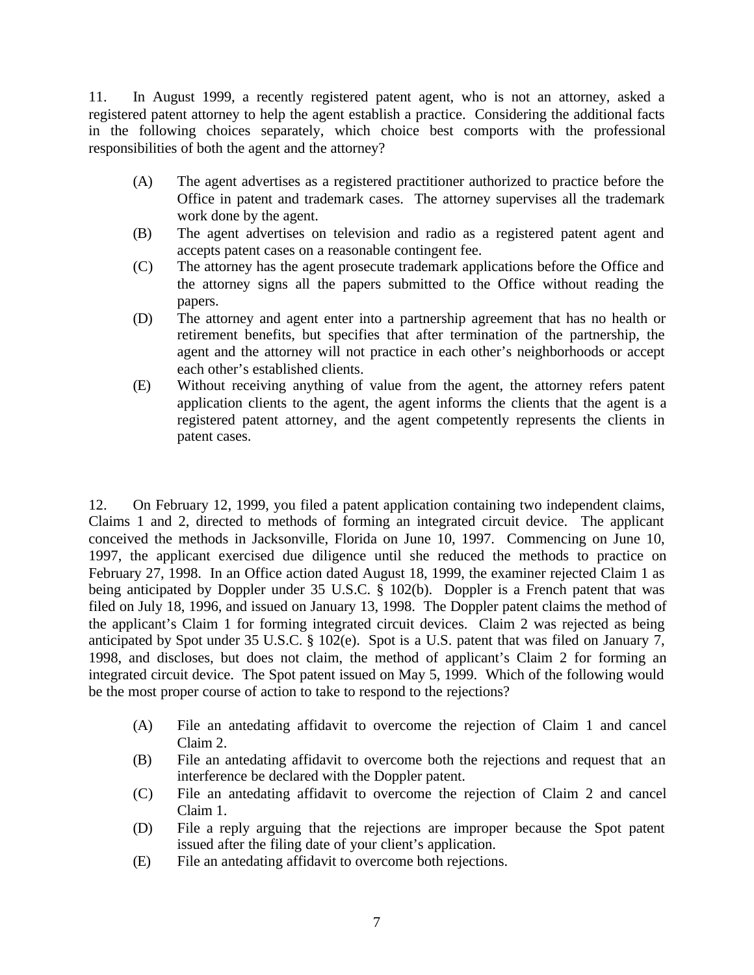11. In August 1999, a recently registered patent agent, who is not an attorney, asked a registered patent attorney to help the agent establish a practice. Considering the additional facts in the following choices separately, which choice best comports with the professional responsibilities of both the agent and the attorney?

- (A) The agent advertises as a registered practitioner authorized to practice before the Office in patent and trademark cases. The attorney supervises all the trademark work done by the agent.
- (B) The agent advertises on television and radio as a registered patent agent and accepts patent cases on a reasonable contingent fee.
- (C) The attorney has the agent prosecute trademark applications before the Office and the attorney signs all the papers submitted to the Office without reading the papers.
- (D) The attorney and agent enter into a partnership agreement that has no health or retirement benefits, but specifies that after termination of the partnership, the agent and the attorney will not practice in each other's neighborhoods or accept each other's established clients.
- (E) Without receiving anything of value from the agent, the attorney refers patent application clients to the agent, the agent informs the clients that the agent is a registered patent attorney, and the agent competently represents the clients in patent cases.

12. On February 12, 1999, you filed a patent application containing two independent claims, Claims 1 and 2, directed to methods of forming an integrated circuit device. The applicant conceived the methods in Jacksonville, Florida on June 10, 1997. Commencing on June 10, 1997, the applicant exercised due diligence until she reduced the methods to practice on February 27, 1998. In an Office action dated August 18, 1999, the examiner rejected Claim 1 as being anticipated by Doppler under 35 U.S.C. § 102(b). Doppler is a French patent that was filed on July 18, 1996, and issued on January 13, 1998. The Doppler patent claims the method of the applicant's Claim 1 for forming integrated circuit devices. Claim 2 was rejected as being anticipated by Spot under 35 U.S.C. § 102(e). Spot is a U.S. patent that was filed on January 7, 1998, and discloses, but does not claim, the method of applicant's Claim 2 for forming an integrated circuit device. The Spot patent issued on May 5, 1999. Which of the following would be the most proper course of action to take to respond to the rejections?

- (A) File an antedating affidavit to overcome the rejection of Claim 1 and cancel Claim 2.
- (B) File an antedating affidavit to overcome both the rejections and request that an interference be declared with the Doppler patent.
- (C) File an antedating affidavit to overcome the rejection of Claim 2 and cancel Claim 1.
- (D) File a reply arguing that the rejections are improper because the Spot patent issued after the filing date of your client's application.
- (E) File an antedating affidavit to overcome both rejections.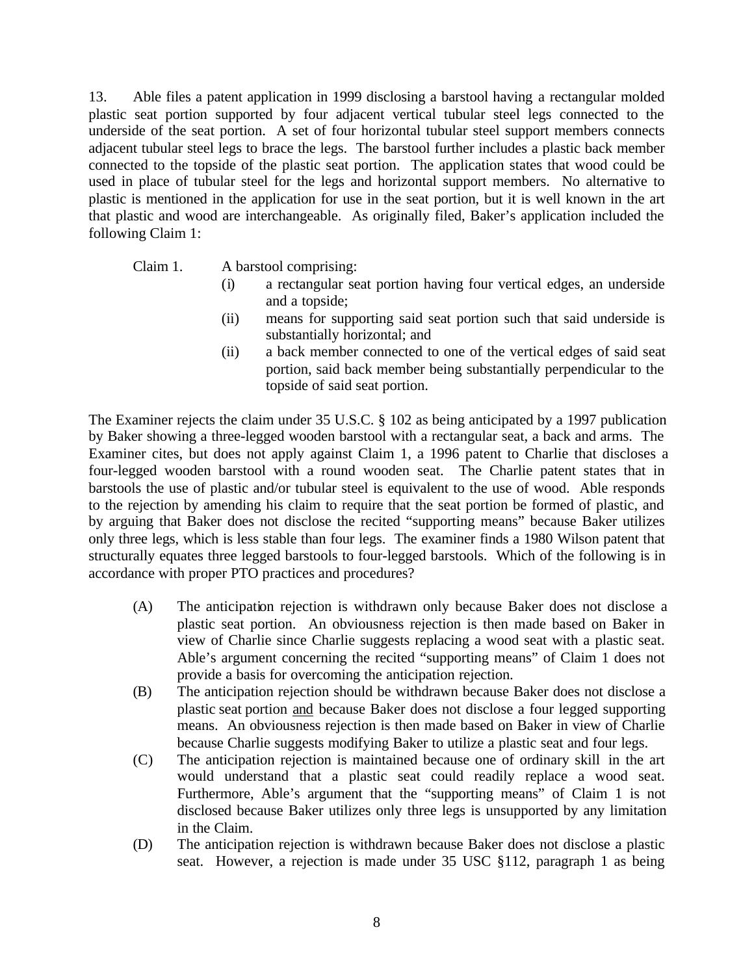13. Able files a patent application in 1999 disclosing a barstool having a rectangular molded plastic seat portion supported by four adjacent vertical tubular steel legs connected to the underside of the seat portion. A set of four horizontal tubular steel support members connects adjacent tubular steel legs to brace the legs. The barstool further includes a plastic back member connected to the topside of the plastic seat portion. The application states that wood could be used in place of tubular steel for the legs and horizontal support members. No alternative to plastic is mentioned in the application for use in the seat portion, but it is well known in the art that plastic and wood are interchangeable. As originally filed, Baker's application included the following Claim 1:

- Claim 1. A barstool comprising:
	- (i) a rectangular seat portion having four vertical edges, an underside and a topside;
	- (ii) means for supporting said seat portion such that said underside is substantially horizontal; and
	- (ii) a back member connected to one of the vertical edges of said seat portion, said back member being substantially perpendicular to the topside of said seat portion.

The Examiner rejects the claim under 35 U.S.C. § 102 as being anticipated by a 1997 publication by Baker showing a three-legged wooden barstool with a rectangular seat, a back and arms. The Examiner cites, but does not apply against Claim 1, a 1996 patent to Charlie that discloses a four-legged wooden barstool with a round wooden seat. The Charlie patent states that in barstools the use of plastic and/or tubular steel is equivalent to the use of wood. Able responds to the rejection by amending his claim to require that the seat portion be formed of plastic, and by arguing that Baker does not disclose the recited "supporting means" because Baker utilizes only three legs, which is less stable than four legs. The examiner finds a 1980 Wilson patent that structurally equates three legged barstools to four-legged barstools. Which of the following is in accordance with proper PTO practices and procedures?

- (A) The anticipation rejection is withdrawn only because Baker does not disclose a plastic seat portion. An obviousness rejection is then made based on Baker in view of Charlie since Charlie suggests replacing a wood seat with a plastic seat. Able's argument concerning the recited "supporting means" of Claim 1 does not provide a basis for overcoming the anticipation rejection.
- (B) The anticipation rejection should be withdrawn because Baker does not disclose a plastic seat portion and because Baker does not disclose a four legged supporting means. An obviousness rejection is then made based on Baker in view of Charlie because Charlie suggests modifying Baker to utilize a plastic seat and four legs.
- (C) The anticipation rejection is maintained because one of ordinary skill in the art would understand that a plastic seat could readily replace a wood seat. Furthermore, Able's argument that the "supporting means" of Claim 1 is not disclosed because Baker utilizes only three legs is unsupported by any limitation in the Claim.
- (D) The anticipation rejection is withdrawn because Baker does not disclose a plastic seat. However, a rejection is made under 35 USC §112, paragraph 1 as being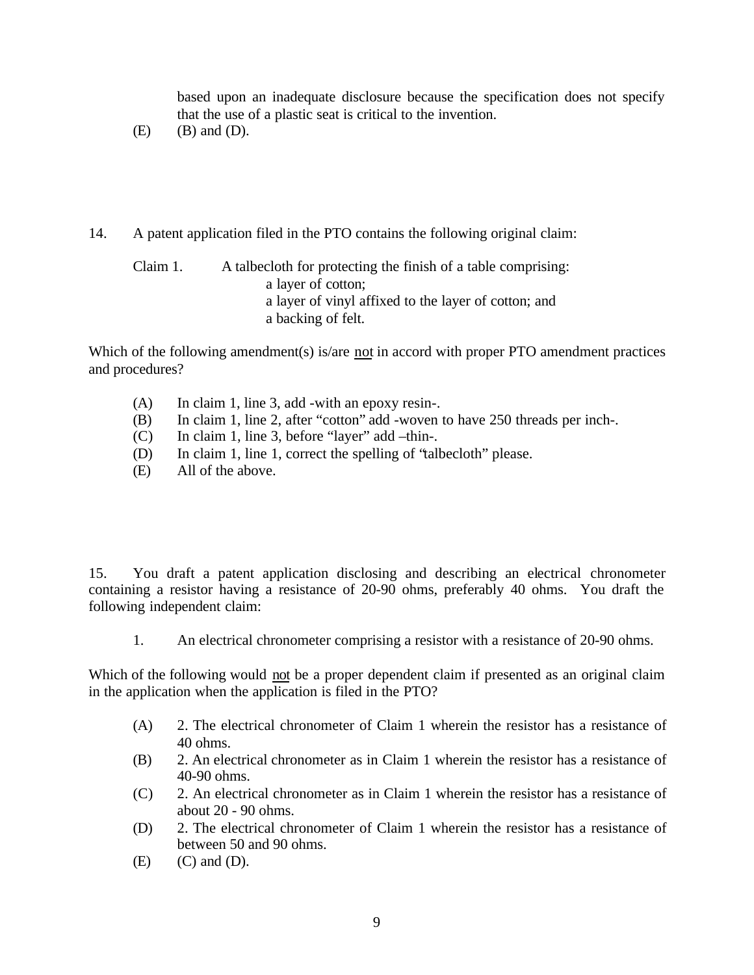based upon an inadequate disclosure because the specification does not specify that the use of a plastic seat is critical to the invention.

- $(E)$   $(B)$  and  $(D)$ .
- 14. A patent application filed in the PTO contains the following original claim:

Claim 1. A talbecloth for protecting the finish of a table comprising: a layer of cotton; a layer of vinyl affixed to the layer of cotton; and a backing of felt.

Which of the following amendment(s) is/are not in accord with proper PTO amendment practices and procedures?

- (A) In claim 1, line 3, add -with an epoxy resin-.
- (B) In claim 1, line 2, after "cotton" add -woven to have 250 threads per inch-.
- (C) In claim 1, line 3, before "layer" add –thin-.
- (D) In claim 1, line 1, correct the spelling of "talbecloth" please.
- (E) All of the above.

15. You draft a patent application disclosing and describing an electrical chronometer containing a resistor having a resistance of 20-90 ohms, preferably 40 ohms. You draft the following independent claim:

1. An electrical chronometer comprising a resistor with a resistance of 20-90 ohms.

Which of the following would not be a proper dependent claim if presented as an original claim in the application when the application is filed in the PTO?

- (A) 2. The electrical chronometer of Claim 1 wherein the resistor has a resistance of 40 ohms.
- (B) 2. An electrical chronometer as in Claim 1 wherein the resistor has a resistance of 40-90 ohms.
- (C) 2. An electrical chronometer as in Claim 1 wherein the resistor has a resistance of about 20 - 90 ohms.
- (D) 2. The electrical chronometer of Claim 1 wherein the resistor has a resistance of between 50 and 90 ohms.
- $(E)$   $(C)$  and  $(D)$ .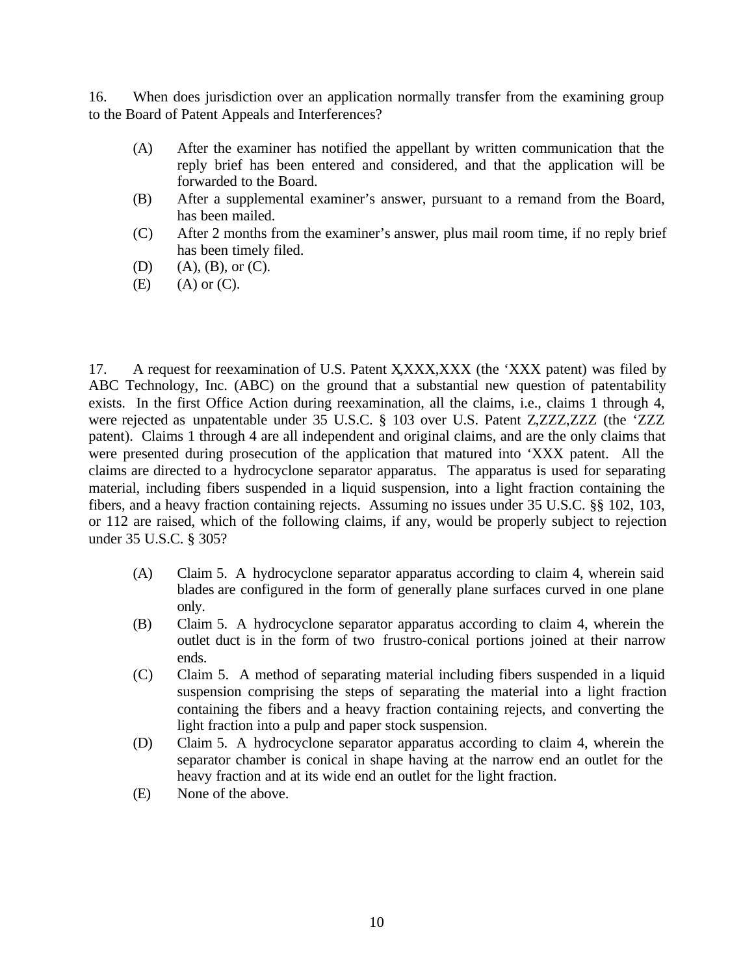16. When does jurisdiction over an application normally transfer from the examining group to the Board of Patent Appeals and Interferences?

- (A) After the examiner has notified the appellant by written communication that the reply brief has been entered and considered, and that the application will be forwarded to the Board.
- (B) After a supplemental examiner's answer, pursuant to a remand from the Board, has been mailed.
- (C) After 2 months from the examiner's answer, plus mail room time, if no reply brief has been timely filed.
- (D)  $(A), (B),$  or  $(C).$
- $(E)$   $(A)$  or  $(C)$ .

17. A request for reexamination of U.S. Patent X,XXX,XXX (the 'XXX patent) was filed by ABC Technology, Inc. (ABC) on the ground that a substantial new question of patentability exists. In the first Office Action during reexamination, all the claims, i.e., claims 1 through 4, were rejected as unpatentable under 35 U.S.C. § 103 over U.S. Patent Z,ZZZ,ZZZ (the 'ZZZ patent). Claims 1 through 4 are all independent and original claims, and are the only claims that were presented during prosecution of the application that matured into 'XXX patent. All the claims are directed to a hydrocyclone separator apparatus. The apparatus is used for separating material, including fibers suspended in a liquid suspension, into a light fraction containing the fibers, and a heavy fraction containing rejects. Assuming no issues under 35 U.S.C. §§ 102, 103, or 112 are raised, which of the following claims, if any, would be properly subject to rejection under 35 U.S.C. § 305?

- (A) Claim 5. A hydrocyclone separator apparatus according to claim 4, wherein said blades are configured in the form of generally plane surfaces curved in one plane only.
- (B) Claim 5. A hydrocyclone separator apparatus according to claim 4, wherein the outlet duct is in the form of two frustro-conical portions joined at their narrow ends.
- (C) Claim 5. A method of separating material including fibers suspended in a liquid suspension comprising the steps of separating the material into a light fraction containing the fibers and a heavy fraction containing rejects, and converting the light fraction into a pulp and paper stock suspension.
- (D) Claim 5. A hydrocyclone separator apparatus according to claim 4, wherein the separator chamber is conical in shape having at the narrow end an outlet for the heavy fraction and at its wide end an outlet for the light fraction.
- (E) None of the above.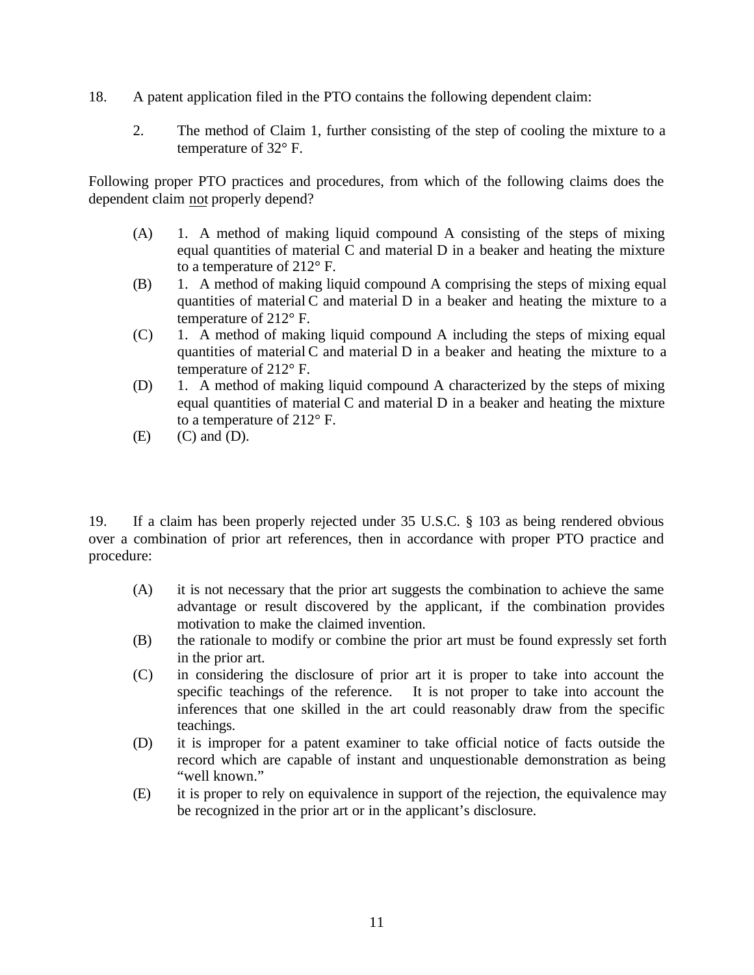- 18. A patent application filed in the PTO contains the following dependent claim:
	- 2. The method of Claim 1, further consisting of the step of cooling the mixture to a temperature of 32° F.

Following proper PTO practices and procedures, from which of the following claims does the dependent claim not properly depend?

- (A) 1. A method of making liquid compound A consisting of the steps of mixing equal quantities of material C and material D in a beaker and heating the mixture to a temperature of 212° F.
- (B) 1. A method of making liquid compound A comprising the steps of mixing equal quantities of material C and material D in a beaker and heating the mixture to a temperature of 212° F.
- (C) 1. A method of making liquid compound A including the steps of mixing equal quantities of material C and material D in a beaker and heating the mixture to a temperature of 212° F.
- (D) 1. A method of making liquid compound A characterized by the steps of mixing equal quantities of material C and material D in a beaker and heating the mixture to a temperature of 212° F.
- $(E)$   $(C)$  and  $(D)$ .

19. If a claim has been properly rejected under 35 U.S.C. § 103 as being rendered obvious over a combination of prior art references, then in accordance with proper PTO practice and procedure:

- (A) it is not necessary that the prior art suggests the combination to achieve the same advantage or result discovered by the applicant, if the combination provides motivation to make the claimed invention.
- (B) the rationale to modify or combine the prior art must be found expressly set forth in the prior art.
- (C) in considering the disclosure of prior art it is proper to take into account the specific teachings of the reference. It is not proper to take into account the inferences that one skilled in the art could reasonably draw from the specific teachings.
- (D) it is improper for a patent examiner to take official notice of facts outside the record which are capable of instant and unquestionable demonstration as being "well known."
- (E) it is proper to rely on equivalence in support of the rejection, the equivalence may be recognized in the prior art or in the applicant's disclosure.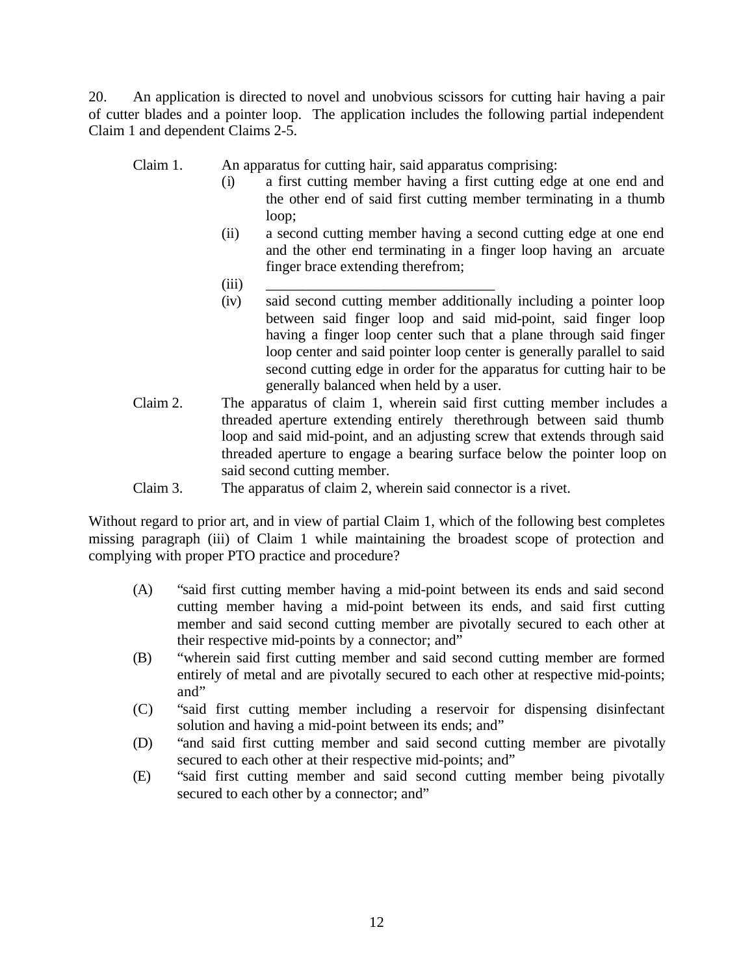20. An application is directed to novel and unobvious scissors for cutting hair having a pair of cutter blades and a pointer loop. The application includes the following partial independent Claim 1 and dependent Claims 2-5.

Claim 1. An apparatus for cutting hair, said apparatus comprising:

- (i) a first cutting member having a first cutting edge at one end and the other end of said first cutting member terminating in a thumb loop;
- (ii) a second cutting member having a second cutting edge at one end and the other end terminating in a finger loop having an arcuate finger brace extending therefrom;
- $(iii)$   $\qquad \qquad \qquad$
- (iv) said second cutting member additionally including a pointer loop between said finger loop and said mid-point, said finger loop having a finger loop center such that a plane through said finger loop center and said pointer loop center is generally parallel to said second cutting edge in order for the apparatus for cutting hair to be generally balanced when held by a user.
- Claim 2. The apparatus of claim 1, wherein said first cutting member includes a threaded aperture extending entirely therethrough between said thumb loop and said mid-point, and an adjusting screw that extends through said threaded aperture to engage a bearing surface below the pointer loop on said second cutting member.
- Claim 3. The apparatus of claim 2, wherein said connector is a rivet.

Without regard to prior art, and in view of partial Claim 1, which of the following best completes missing paragraph (iii) of Claim 1 while maintaining the broadest scope of protection and complying with proper PTO practice and procedure?

- (A) "said first cutting member having a mid-point between its ends and said second cutting member having a mid-point between its ends, and said first cutting member and said second cutting member are pivotally secured to each other at their respective mid-points by a connector; and"
- (B) "wherein said first cutting member and said second cutting member are formed entirely of metal and are pivotally secured to each other at respective mid-points; and"
- (C) "said first cutting member including a reservoir for dispensing disinfectant solution and having a mid-point between its ends; and"
- (D) "and said first cutting member and said second cutting member are pivotally secured to each other at their respective mid-points; and"
- (E) "said first cutting member and said second cutting member being pivotally secured to each other by a connector; and"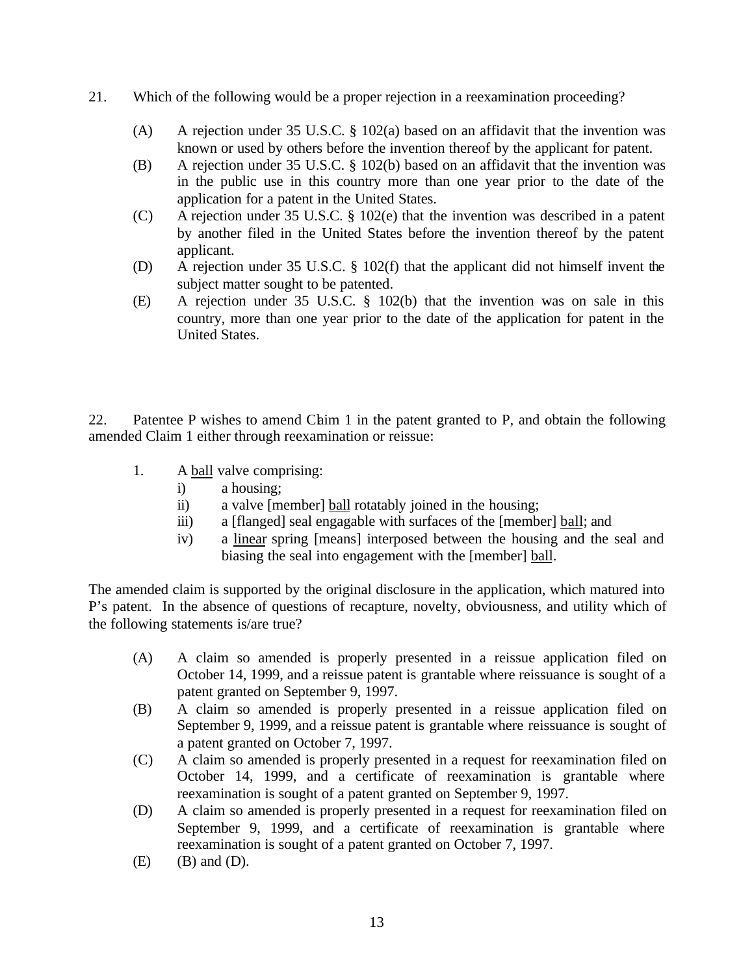- 21. Which of the following would be a proper rejection in a reexamination proceeding?
	- (A) A rejection under 35 U.S.C. § 102(a) based on an affidavit that the invention was known or used by others before the invention thereof by the applicant for patent.
	- (B) A rejection under 35 U.S.C. § 102(b) based on an affidavit that the invention was in the public use in this country more than one year prior to the date of the application for a patent in the United States.
	- (C) A rejection under 35 U.S.C. § 102(e) that the invention was described in a patent by another filed in the United States before the invention thereof by the patent applicant.
	- (D) A rejection under 35 U.S.C. § 102(f) that the applicant did not himself invent the subject matter sought to be patented.
	- (E) A rejection under 35 U.S.C. § 102(b) that the invention was on sale in this country, more than one year prior to the date of the application for patent in the United States.

22. Patentee P wishes to amend Chaim 1 in the patent granted to P, and obtain the following amended Claim 1 either through reexamination or reissue:

- 1. A ball valve comprising:
	- i) a housing;
	- ii) a valve [member] ball rotatably joined in the housing;
	- iii) a [flanged] seal engagable with surfaces of the [member] ball; and
	- iv) a linear spring [means] interposed between the housing and the seal and biasing the seal into engagement with the [member] ball.

The amended claim is supported by the original disclosure in the application, which matured into P's patent. In the absence of questions of recapture, novelty, obviousness, and utility which of the following statements is/are true?

- (A) A claim so amended is properly presented in a reissue application filed on October 14, 1999, and a reissue patent is grantable where reissuance is sought of a patent granted on September 9, 1997.
- (B) A claim so amended is properly presented in a reissue application filed on September 9, 1999, and a reissue patent is grantable where reissuance is sought of a patent granted on October 7, 1997.
- (C) A claim so amended is properly presented in a request for reexamination filed on October 14, 1999, and a certificate of reexamination is grantable where reexamination is sought of a patent granted on September 9, 1997.
- (D) A claim so amended is properly presented in a request for reexamination filed on September 9, 1999, and a certificate of reexamination is grantable where reexamination is sought of a patent granted on October 7, 1997.
- $(E)$  (B) and  $(D)$ .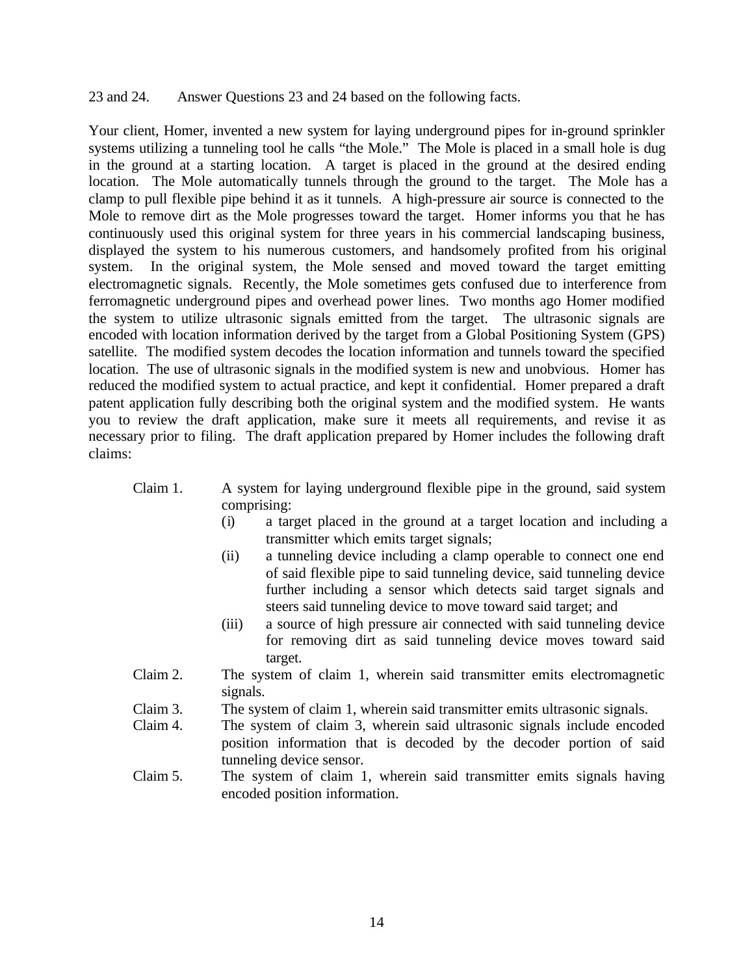#### 23 and 24. Answer Questions 23 and 24 based on the following facts.

Your client, Homer, invented a new system for laying underground pipes for in-ground sprinkler systems utilizing a tunneling tool he calls "the Mole." The Mole is placed in a small hole is dug in the ground at a starting location. A target is placed in the ground at the desired ending location. The Mole automatically tunnels through the ground to the target. The Mole has a clamp to pull flexible pipe behind it as it tunnels. A high-pressure air source is connected to the Mole to remove dirt as the Mole progresses toward the target. Homer informs you that he has continuously used this original system for three years in his commercial landscaping business, displayed the system to his numerous customers, and handsomely profited from his original system. In the original system, the Mole sensed and moved toward the target emitting electromagnetic signals. Recently, the Mole sometimes gets confused due to interference from ferromagnetic underground pipes and overhead power lines. Two months ago Homer modified the system to utilize ultrasonic signals emitted from the target. The ultrasonic signals are encoded with location information derived by the target from a Global Positioning System (GPS) satellite. The modified system decodes the location information and tunnels toward the specified location. The use of ultrasonic signals in the modified system is new and unobvious. Homer has reduced the modified system to actual practice, and kept it confidential. Homer prepared a draft patent application fully describing both the original system and the modified system. He wants you to review the draft application, make sure it meets all requirements, and revise it as necessary prior to filing. The draft application prepared by Homer includes the following draft claims:

- Claim 1. A system for laying underground flexible pipe in the ground, said system comprising:
	- (i) a target placed in the ground at a target location and including a transmitter which emits target signals;
	- (ii) a tunneling device including a clamp operable to connect one end of said flexible pipe to said tunneling device, said tunneling device further including a sensor which detects said target signals and steers said tunneling device to move toward said target; and
	- (iii) a source of high pressure air connected with said tunneling device for removing dirt as said tunneling device moves toward said target.
- Claim 2. The system of claim 1, wherein said transmitter emits electromagnetic signals.
- Claim 3. The system of claim 1, wherein said transmitter emits ultrasonic signals.
- Claim 4. The system of claim 3, wherein said ultrasonic signals include encoded position information that is decoded by the decoder portion of said tunneling device sensor.
- Claim 5. The system of claim 1, wherein said transmitter emits signals having encoded position information.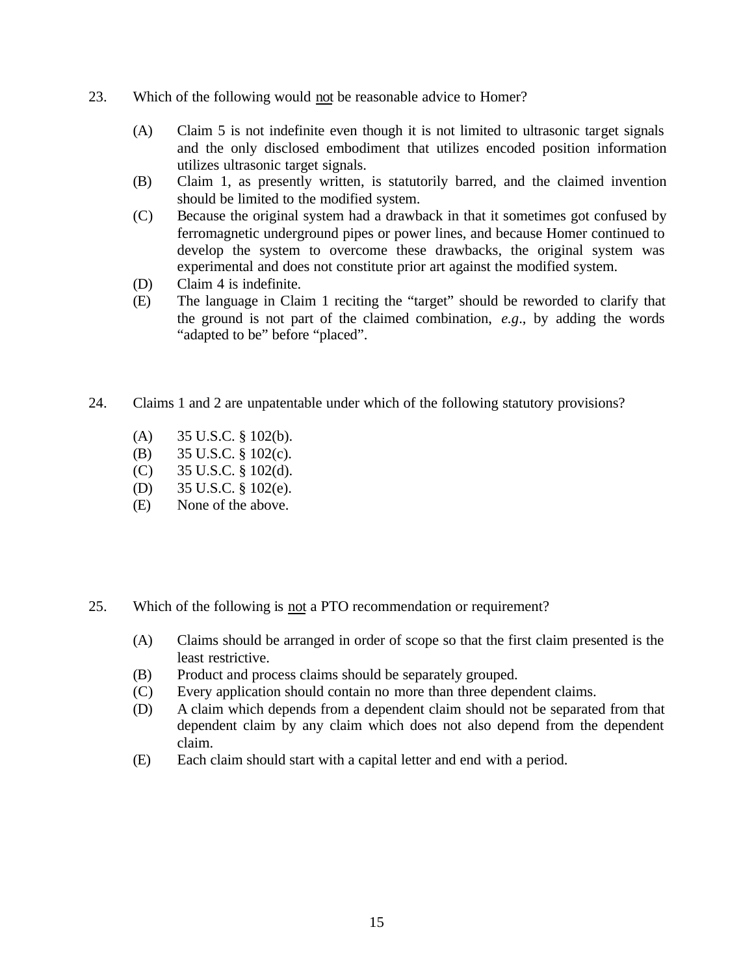- 23. Which of the following would not be reasonable advice to Homer?
	- (A) Claim 5 is not indefinite even though it is not limited to ultrasonic target signals and the only disclosed embodiment that utilizes encoded position information utilizes ultrasonic target signals.
	- (B) Claim 1, as presently written, is statutorily barred, and the claimed invention should be limited to the modified system.
	- (C) Because the original system had a drawback in that it sometimes got confused by ferromagnetic underground pipes or power lines, and because Homer continued to develop the system to overcome these drawbacks, the original system was experimental and does not constitute prior art against the modified system.
	- (D) Claim 4 is indefinite.
	- (E) The language in Claim 1 reciting the "target" should be reworded to clarify that the ground is not part of the claimed combination, *e.g*., by adding the words "adapted to be" before "placed".
- 24. Claims 1 and 2 are unpatentable under which of the following statutory provisions?
	- (A) 35 U.S.C. § 102(b).
	- (B) 35 U.S.C. § 102(c).
	- (C) 35 U.S.C. § 102(d).
	- (D) 35 U.S.C. § 102(e).
	- (E) None of the above.
- 25. Which of the following is not a PTO recommendation or requirement?
	- (A) Claims should be arranged in order of scope so that the first claim presented is the least restrictive.
	- (B) Product and process claims should be separately grouped.
	- (C) Every application should contain no more than three dependent claims.
	- (D) A claim which depends from a dependent claim should not be separated from that dependent claim by any claim which does not also depend from the dependent claim.
	- (E) Each claim should start with a capital letter and end with a period.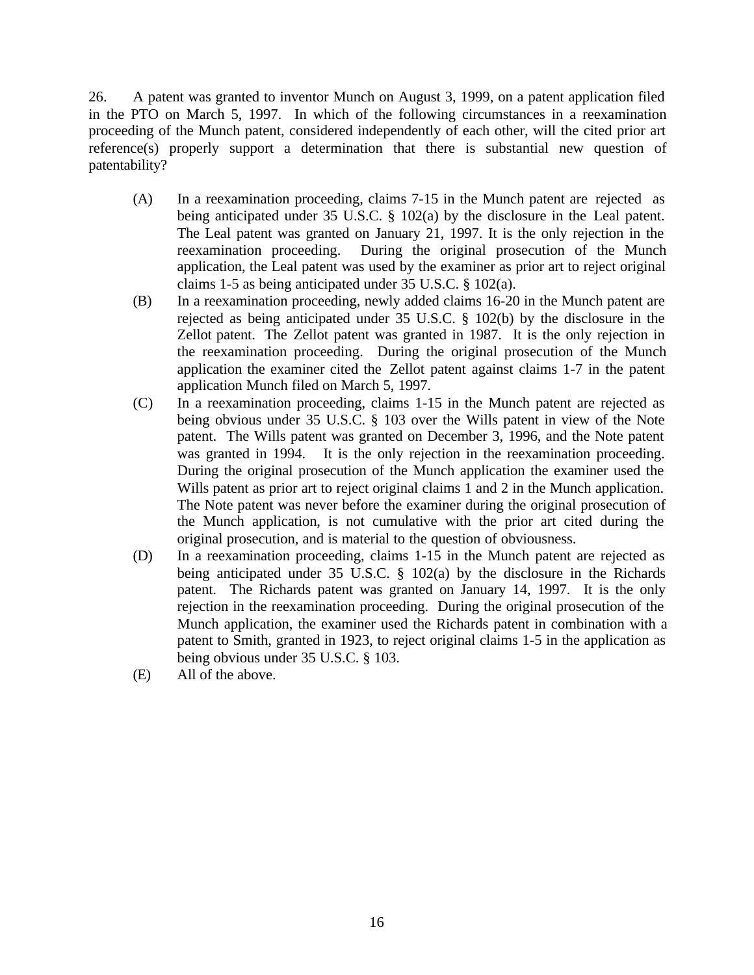26. A patent was granted to inventor Munch on August 3, 1999, on a patent application filed in the PTO on March 5, 1997. In which of the following circumstances in a reexamination proceeding of the Munch patent, considered independently of each other, will the cited prior art reference(s) properly support a determination that there is substantial new question of patentability?

- (A) In a reexamination proceeding, claims 7-15 in the Munch patent are rejected as being anticipated under 35 U.S.C. § 102(a) by the disclosure in the Leal patent. The Leal patent was granted on January 21, 1997. It is the only rejection in the reexamination proceeding. During the original prosecution of the Munch application, the Leal patent was used by the examiner as prior art to reject original claims 1-5 as being anticipated under 35 U.S.C. § 102(a).
- (B) In a reexamination proceeding, newly added claims 16-20 in the Munch patent are rejected as being anticipated under 35 U.S.C. § 102(b) by the disclosure in the Zellot patent. The Zellot patent was granted in 1987. It is the only rejection in the reexamination proceeding. During the original prosecution of the Munch application the examiner cited the Zellot patent against claims 1-7 in the patent application Munch filed on March 5, 1997.
- (C) In a reexamination proceeding, claims 1-15 in the Munch patent are rejected as being obvious under 35 U.S.C. § 103 over the Wills patent in view of the Note patent. The Wills patent was granted on December 3, 1996, and the Note patent was granted in 1994. It is the only rejection in the reexamination proceeding. During the original prosecution of the Munch application the examiner used the Wills patent as prior art to reject original claims 1 and 2 in the Munch application. The Note patent was never before the examiner during the original prosecution of the Munch application, is not cumulative with the prior art cited during the original prosecution, and is material to the question of obviousness.
- (D) In a reexamination proceeding, claims 1-15 in the Munch patent are rejected as being anticipated under 35 U.S.C. § 102(a) by the disclosure in the Richards patent. The Richards patent was granted on January 14, 1997. It is the only rejection in the reexamination proceeding. During the original prosecution of the Munch application, the examiner used the Richards patent in combination with a patent to Smith, granted in 1923, to reject original claims 1-5 in the application as being obvious under 35 U.S.C. § 103.
- (E) All of the above.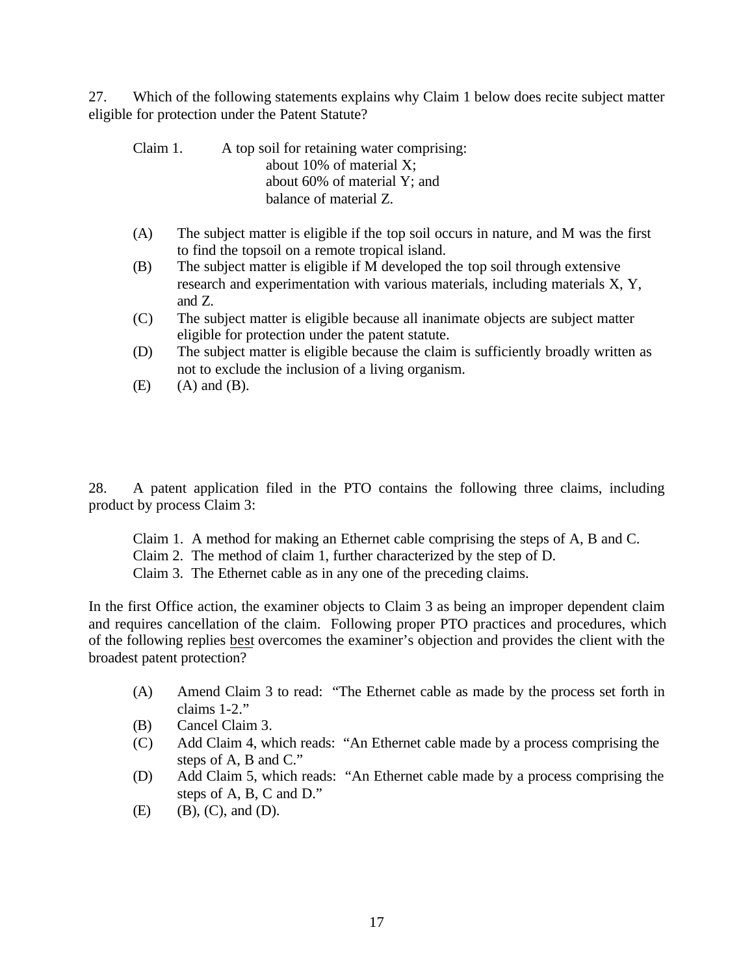27. Which of the following statements explains why Claim 1 below does recite subject matter eligible for protection under the Patent Statute?

| Claim 1. | A top soil for retaining water comprising: |
|----------|--------------------------------------------|
|          | about 10% of material $X$ ;                |
|          | about 60% of material Y; and               |
|          | balance of material Z.                     |

- (A) The subject matter is eligible if the top soil occurs in nature, and M was the first to find the topsoil on a remote tropical island.
- (B) The subject matter is eligible if M developed the top soil through extensive research and experimentation with various materials, including materials X, Y, and Z.
- (C) The subject matter is eligible because all inanimate objects are subject matter eligible for protection under the patent statute.
- (D) The subject matter is eligible because the claim is sufficiently broadly written as not to exclude the inclusion of a living organism.
- $(E)$   $(A)$  and  $(B)$ .

28. A patent application filed in the PTO contains the following three claims, including product by process Claim 3:

Claim 1. A method for making an Ethernet cable comprising the steps of A, B and C.

Claim 2. The method of claim 1, further characterized by the step of D.

Claim 3. The Ethernet cable as in any one of the preceding claims.

In the first Office action, the examiner objects to Claim 3 as being an improper dependent claim and requires cancellation of the claim. Following proper PTO practices and procedures, which of the following replies best overcomes the examiner's objection and provides the client with the broadest patent protection?

- (A) Amend Claim 3 to read: "The Ethernet cable as made by the process set forth in claims 1-2."
- (B) Cancel Claim 3.
- (C) Add Claim 4, which reads: "An Ethernet cable made by a process comprising the steps of A, B and C."
- (D) Add Claim 5, which reads: "An Ethernet cable made by a process comprising the steps of A, B, C and D."
- $(E)$  (B),  $(C)$ , and  $(D)$ .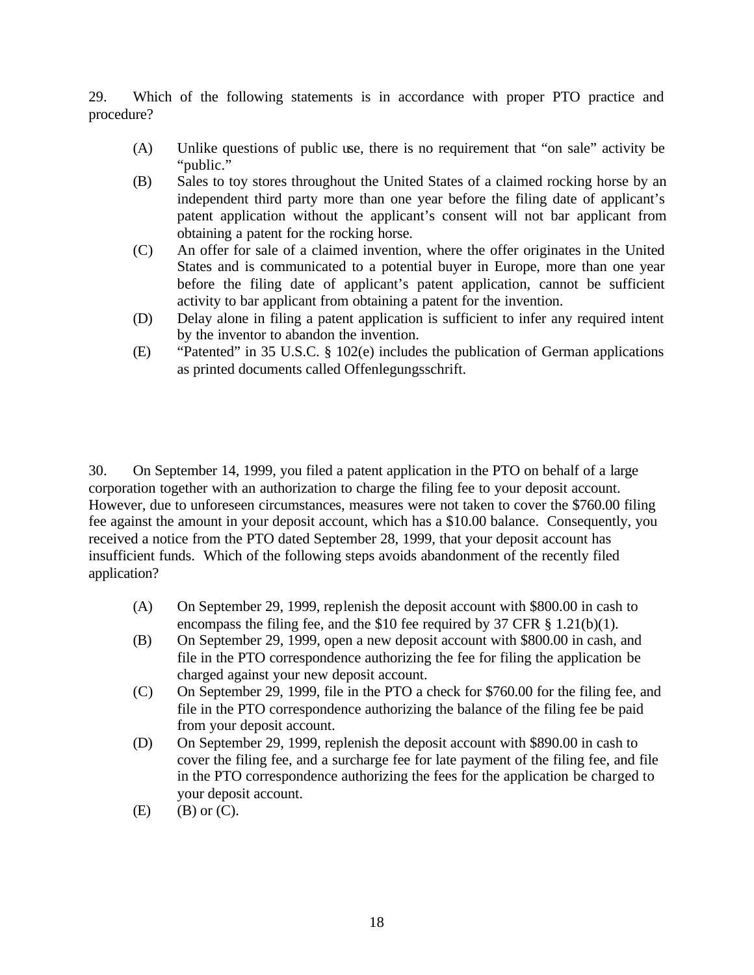29. Which of the following statements is in accordance with proper PTO practice and procedure?

- (A) Unlike questions of public use, there is no requirement that "on sale" activity be "public."
- (B) Sales to toy stores throughout the United States of a claimed rocking horse by an independent third party more than one year before the filing date of applicant's patent application without the applicant's consent will not bar applicant from obtaining a patent for the rocking horse.
- (C) An offer for sale of a claimed invention, where the offer originates in the United States and is communicated to a potential buyer in Europe, more than one year before the filing date of applicant's patent application, cannot be sufficient activity to bar applicant from obtaining a patent for the invention.
- (D) Delay alone in filing a patent application is sufficient to infer any required intent by the inventor to abandon the invention.
- (E) "Patented" in 35 U.S.C. § 102(e) includes the publication of German applications as printed documents called Offenlegungsschrift.

30. On September 14, 1999, you filed a patent application in the PTO on behalf of a large corporation together with an authorization to charge the filing fee to your deposit account. However, due to unforeseen circumstances, measures were not taken to cover the \$760.00 filing fee against the amount in your deposit account, which has a \$10.00 balance. Consequently, you received a notice from the PTO dated September 28, 1999, that your deposit account has insufficient funds. Which of the following steps avoids abandonment of the recently filed application?

- (A) On September 29, 1999, replenish the deposit account with \$800.00 in cash to encompass the filing fee, and the \$10 fee required by 37 CFR § 1.21(b)(1).
- (B) On September 29, 1999, open a new deposit account with \$800.00 in cash, and file in the PTO correspondence authorizing the fee for filing the application be charged against your new deposit account.
- (C) On September 29, 1999, file in the PTO a check for \$760.00 for the filing fee, and file in the PTO correspondence authorizing the balance of the filing fee be paid from your deposit account.
- (D) On September 29, 1999, replenish the deposit account with \$890.00 in cash to cover the filing fee, and a surcharge fee for late payment of the filing fee, and file in the PTO correspondence authorizing the fees for the application be charged to your deposit account.
- $(E)$   $(B)$  or  $(C)$ .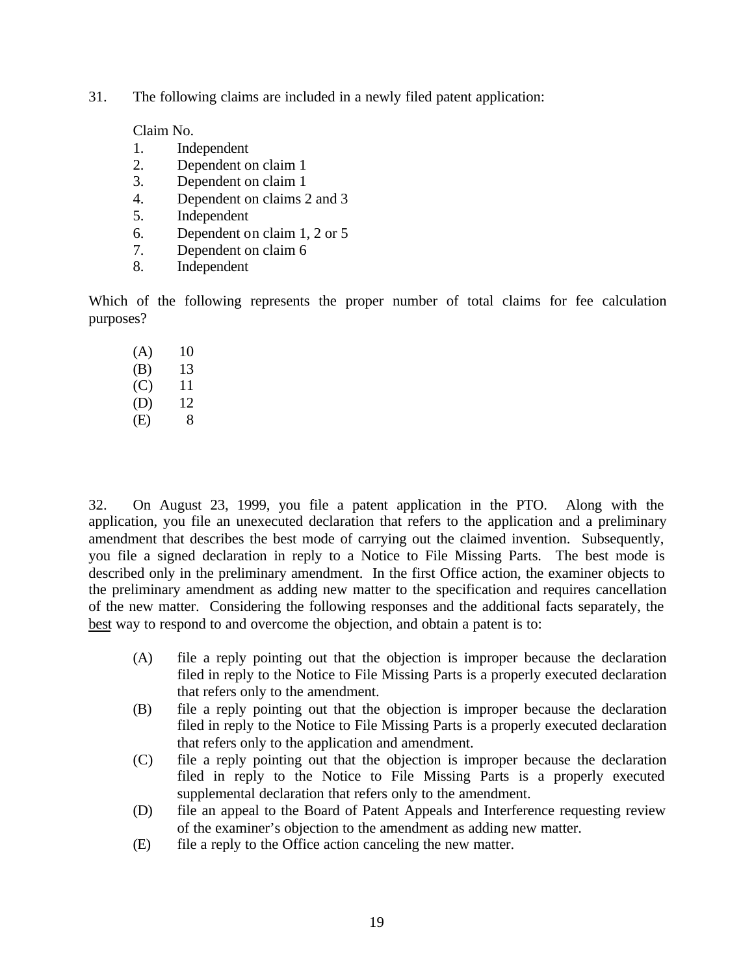31. The following claims are included in a newly filed patent application:

Claim No.

- 1. Independent
- 2. Dependent on claim 1
- 3. Dependent on claim 1
- 4. Dependent on claims 2 and 3
- 5. Independent
- 6. Dependent on claim 1, 2 or 5
- 7. Dependent on claim 6
- 8. Independent

Which of the following represents the proper number of total claims for fee calculation purposes?

| (A) | 10 |
|-----|----|
| (B) | 13 |
| (C) | 11 |
| (D) | 12 |
| (E) | 8  |

32. On August 23, 1999, you file a patent application in the PTO. Along with the application, you file an unexecuted declaration that refers to the application and a preliminary amendment that describes the best mode of carrying out the claimed invention. Subsequently, you file a signed declaration in reply to a Notice to File Missing Parts. The best mode is described only in the preliminary amendment. In the first Office action, the examiner objects to the preliminary amendment as adding new matter to the specification and requires cancellation of the new matter. Considering the following responses and the additional facts separately, the best way to respond to and overcome the objection, and obtain a patent is to:

- (A) file a reply pointing out that the objection is improper because the declaration filed in reply to the Notice to File Missing Parts is a properly executed declaration that refers only to the amendment.
- (B) file a reply pointing out that the objection is improper because the declaration filed in reply to the Notice to File Missing Parts is a properly executed declaration that refers only to the application and amendment.
- (C) file a reply pointing out that the objection is improper because the declaration filed in reply to the Notice to File Missing Parts is a properly executed supplemental declaration that refers only to the amendment.
- (D) file an appeal to the Board of Patent Appeals and Interference requesting review of the examiner's objection to the amendment as adding new matter.
- (E) file a reply to the Office action canceling the new matter.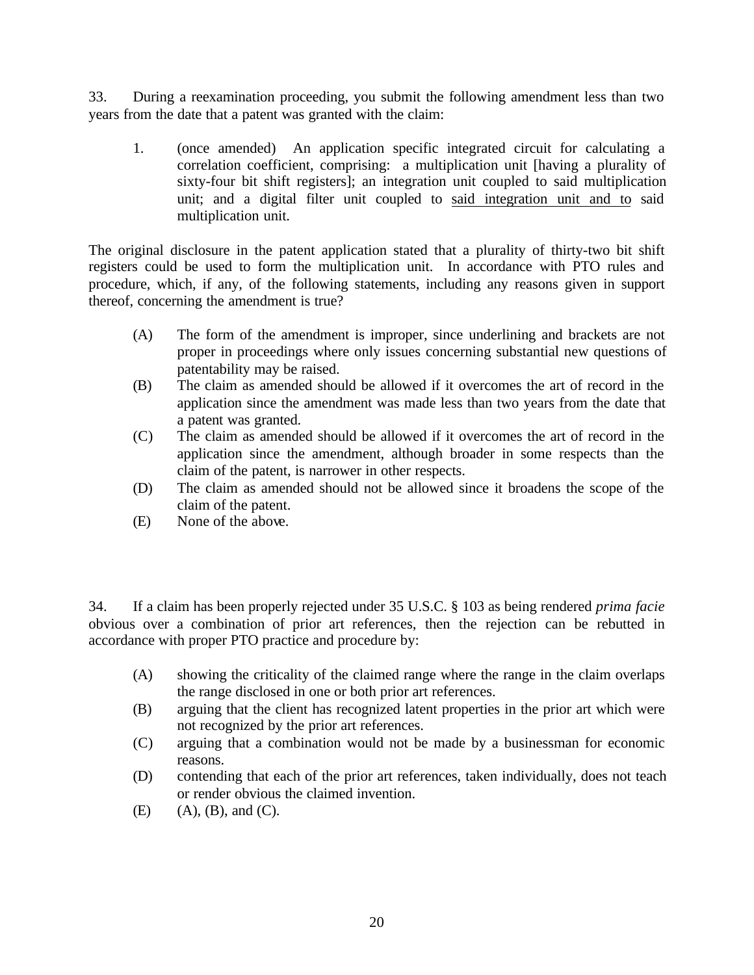33. During a reexamination proceeding, you submit the following amendment less than two years from the date that a patent was granted with the claim:

1. (once amended) An application specific integrated circuit for calculating a correlation coefficient, comprising: a multiplication unit [having a plurality of sixty-four bit shift registers]; an integration unit coupled to said multiplication unit; and a digital filter unit coupled to said integration unit and to said multiplication unit.

The original disclosure in the patent application stated that a plurality of thirty-two bit shift registers could be used to form the multiplication unit. In accordance with PTO rules and procedure, which, if any, of the following statements, including any reasons given in support thereof, concerning the amendment is true?

- (A) The form of the amendment is improper, since underlining and brackets are not proper in proceedings where only issues concerning substantial new questions of patentability may be raised.
- (B) The claim as amended should be allowed if it overcomes the art of record in the application since the amendment was made less than two years from the date that a patent was granted.
- (C) The claim as amended should be allowed if it overcomes the art of record in the application since the amendment, although broader in some respects than the claim of the patent, is narrower in other respects.
- (D) The claim as amended should not be allowed since it broadens the scope of the claim of the patent.
- (E) None of the above.

34. If a claim has been properly rejected under 35 U.S.C. § 103 as being rendered *prima facie* obvious over a combination of prior art references, then the rejection can be rebutted in accordance with proper PTO practice and procedure by:

- (A) showing the criticality of the claimed range where the range in the claim overlaps the range disclosed in one or both prior art references.
- (B) arguing that the client has recognized latent properties in the prior art which were not recognized by the prior art references.
- (C) arguing that a combination would not be made by a businessman for economic reasons.
- (D) contending that each of the prior art references, taken individually, does not teach or render obvious the claimed invention.
- $(E)$  (A),  $(B)$ , and  $(C)$ .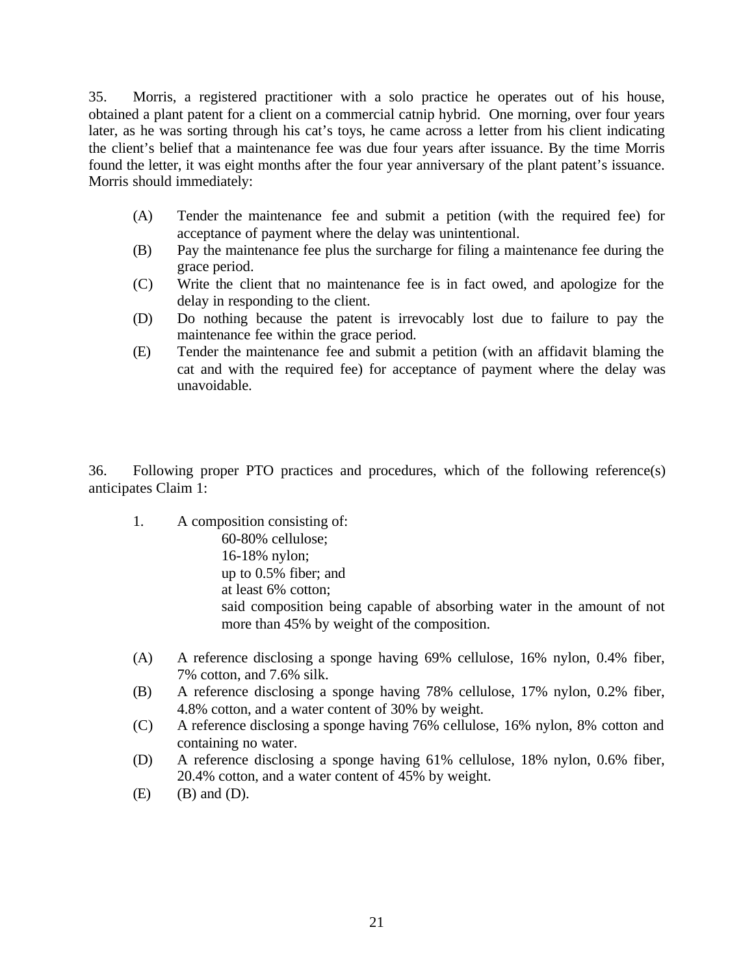35. Morris, a registered practitioner with a solo practice he operates out of his house, obtained a plant patent for a client on a commercial catnip hybrid. One morning, over four years later, as he was sorting through his cat's toys, he came across a letter from his client indicating the client's belief that a maintenance fee was due four years after issuance. By the time Morris found the letter, it was eight months after the four year anniversary of the plant patent's issuance. Morris should immediately:

- (A) Tender the maintenance fee and submit a petition (with the required fee) for acceptance of payment where the delay was unintentional.
- (B) Pay the maintenance fee plus the surcharge for filing a maintenance fee during the grace period.
- (C) Write the client that no maintenance fee is in fact owed, and apologize for the delay in responding to the client.
- (D) Do nothing because the patent is irrevocably lost due to failure to pay the maintenance fee within the grace period.
- (E) Tender the maintenance fee and submit a petition (with an affidavit blaming the cat and with the required fee) for acceptance of payment where the delay was unavoidable.

36. Following proper PTO practices and procedures, which of the following reference(s) anticipates Claim 1:

- 1. A composition consisting of: 60-80% cellulose; 16-18% nylon; up to 0.5% fiber; and at least 6% cotton; said composition being capable of absorbing water in the amount of not more than 45% by weight of the composition.
- (A) A reference disclosing a sponge having 69% cellulose, 16% nylon, 0.4% fiber, 7% cotton, and 7.6% silk.
- (B) A reference disclosing a sponge having 78% cellulose, 17% nylon, 0.2% fiber, 4.8% cotton, and a water content of 30% by weight.
- (C) A reference disclosing a sponge having 76% cellulose, 16% nylon, 8% cotton and containing no water.
- (D) A reference disclosing a sponge having 61% cellulose, 18% nylon, 0.6% fiber, 20.4% cotton, and a water content of 45% by weight.
- $(E)$   $(B)$  and  $(D)$ .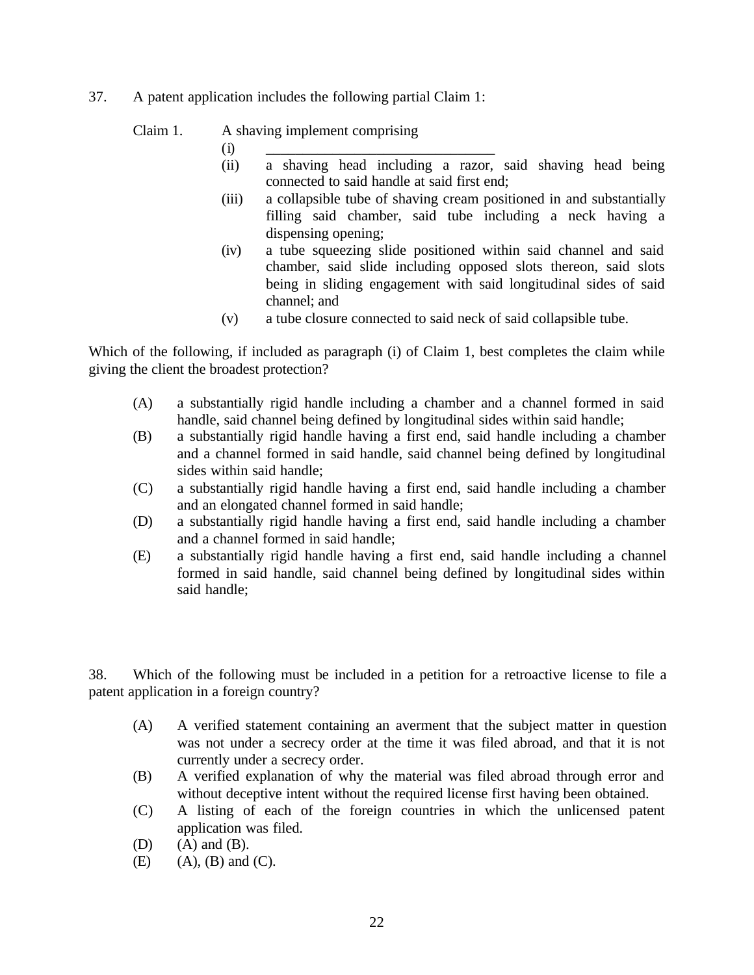37. A patent application includes the following partial Claim 1:

#### Claim 1. A shaving implement comprising

- $(i) \qquad \qquad \boxed{\qquad \qquad }$ 
	- (ii) a shaving head including a razor, said shaving head being connected to said handle at said first end;
	- (iii) a collapsible tube of shaving cream positioned in and substantially filling said chamber, said tube including a neck having a dispensing opening;
	- (iv) a tube squeezing slide positioned within said channel and said chamber, said slide including opposed slots thereon, said slots being in sliding engagement with said longitudinal sides of said channel; and
	- (v) a tube closure connected to said neck of said collapsible tube.

Which of the following, if included as paragraph (i) of Claim 1, best completes the claim while giving the client the broadest protection?

- (A) a substantially rigid handle including a chamber and a channel formed in said handle, said channel being defined by longitudinal sides within said handle;
- (B) a substantially rigid handle having a first end, said handle including a chamber and a channel formed in said handle, said channel being defined by longitudinal sides within said handle;
- (C) a substantially rigid handle having a first end, said handle including a chamber and an elongated channel formed in said handle;
- (D) a substantially rigid handle having a first end, said handle including a chamber and a channel formed in said handle;
- (E) a substantially rigid handle having a first end, said handle including a channel formed in said handle, said channel being defined by longitudinal sides within said handle;

38. Which of the following must be included in a petition for a retroactive license to file a patent application in a foreign country?

- (A) A verified statement containing an averment that the subject matter in question was not under a secrecy order at the time it was filed abroad, and that it is not currently under a secrecy order.
- (B) A verified explanation of why the material was filed abroad through error and without deceptive intent without the required license first having been obtained.
- (C) A listing of each of the foreign countries in which the unlicensed patent application was filed.
- $(D)$   $(A)$  and  $(B)$ .
- $(E)$  (A),  $(B)$  and  $(C)$ .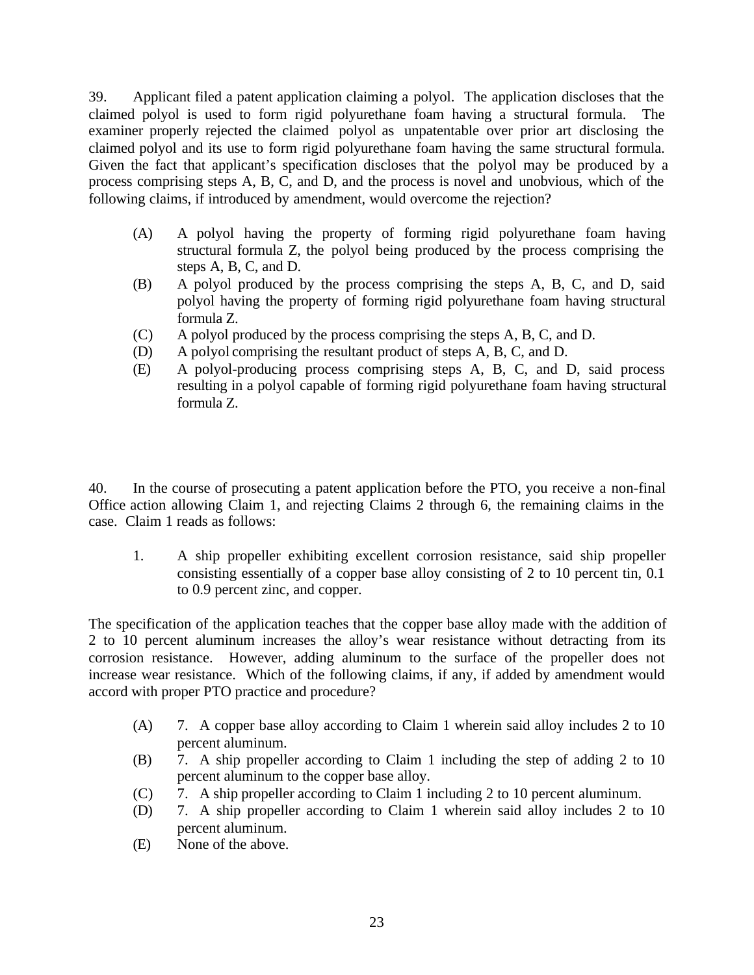39. Applicant filed a patent application claiming a polyol. The application discloses that the claimed polyol is used to form rigid polyurethane foam having a structural formula. The examiner properly rejected the claimed polyol as unpatentable over prior art disclosing the claimed polyol and its use to form rigid polyurethane foam having the same structural formula. Given the fact that applicant's specification discloses that the polyol may be produced by a process comprising steps A, B, C, and D, and the process is novel and unobvious, which of the following claims, if introduced by amendment, would overcome the rejection?

- (A) A polyol having the property of forming rigid polyurethane foam having structural formula Z, the polyol being produced by the process comprising the steps A, B, C, and D.
- (B) A polyol produced by the process comprising the steps A, B, C, and D, said polyol having the property of forming rigid polyurethane foam having structural formula Z.
- (C) A polyol produced by the process comprising the steps A, B, C, and D.
- (D) A polyol comprising the resultant product of steps A, B, C, and D.
- (E) A polyol-producing process comprising steps A, B, C, and D, said process resulting in a polyol capable of forming rigid polyurethane foam having structural formula Z.

40. In the course of prosecuting a patent application before the PTO, you receive a non-final Office action allowing Claim 1, and rejecting Claims 2 through 6, the remaining claims in the case. Claim 1 reads as follows:

1. A ship propeller exhibiting excellent corrosion resistance, said ship propeller consisting essentially of a copper base alloy consisting of 2 to 10 percent tin, 0.1 to 0.9 percent zinc, and copper.

The specification of the application teaches that the copper base alloy made with the addition of 2 to 10 percent aluminum increases the alloy's wear resistance without detracting from its corrosion resistance. However, adding aluminum to the surface of the propeller does not increase wear resistance. Which of the following claims, if any, if added by amendment would accord with proper PTO practice and procedure?

- (A) 7. A copper base alloy according to Claim 1 wherein said alloy includes 2 to 10 percent aluminum.
- (B) 7. A ship propeller according to Claim 1 including the step of adding 2 to 10 percent aluminum to the copper base alloy.
- (C) 7. A ship propeller according to Claim 1 including 2 to 10 percent aluminum.
- (D) 7. A ship propeller according to Claim 1 wherein said alloy includes 2 to 10 percent aluminum.
- (E) None of the above.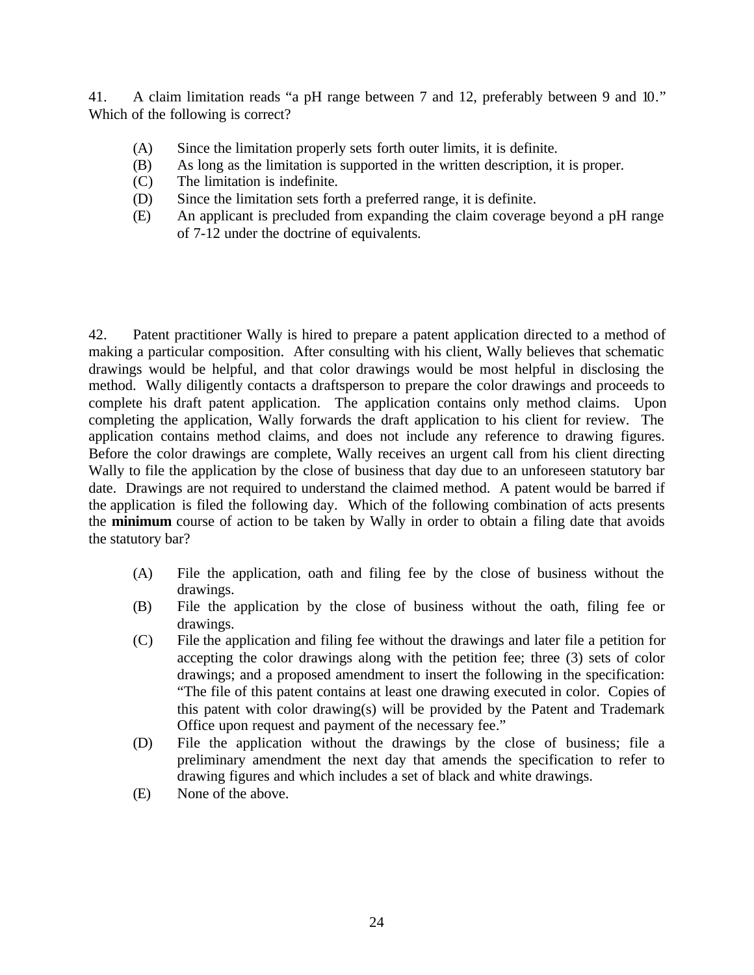41. A claim limitation reads "a pH range between 7 and 12, preferably between 9 and 10." Which of the following is correct?

- (A) Since the limitation properly sets forth outer limits, it is definite.
- (B) As long as the limitation is supported in the written description, it is proper.
- (C) The limitation is indefinite.
- (D) Since the limitation sets forth a preferred range, it is definite.
- (E) An applicant is precluded from expanding the claim coverage beyond a pH range of 7-12 under the doctrine of equivalents.

42. Patent practitioner Wally is hired to prepare a patent application directed to a method of making a particular composition. After consulting with his client, Wally believes that schematic drawings would be helpful, and that color drawings would be most helpful in disclosing the method. Wally diligently contacts a draftsperson to prepare the color drawings and proceeds to complete his draft patent application. The application contains only method claims. Upon completing the application, Wally forwards the draft application to his client for review. The application contains method claims, and does not include any reference to drawing figures. Before the color drawings are complete, Wally receives an urgent call from his client directing Wally to file the application by the close of business that day due to an unforeseen statutory bar date. Drawings are not required to understand the claimed method. A patent would be barred if the application is filed the following day. Which of the following combination of acts presents the **minimum** course of action to be taken by Wally in order to obtain a filing date that avoids the statutory bar?

- (A) File the application, oath and filing fee by the close of business without the drawings.
- (B) File the application by the close of business without the oath, filing fee or drawings.
- (C) File the application and filing fee without the drawings and later file a petition for accepting the color drawings along with the petition fee; three (3) sets of color drawings; and a proposed amendment to insert the following in the specification: "The file of this patent contains at least one drawing executed in color. Copies of this patent with color drawing(s) will be provided by the Patent and Trademark Office upon request and payment of the necessary fee."
- (D) File the application without the drawings by the close of business; file a preliminary amendment the next day that amends the specification to refer to drawing figures and which includes a set of black and white drawings.
- (E) None of the above.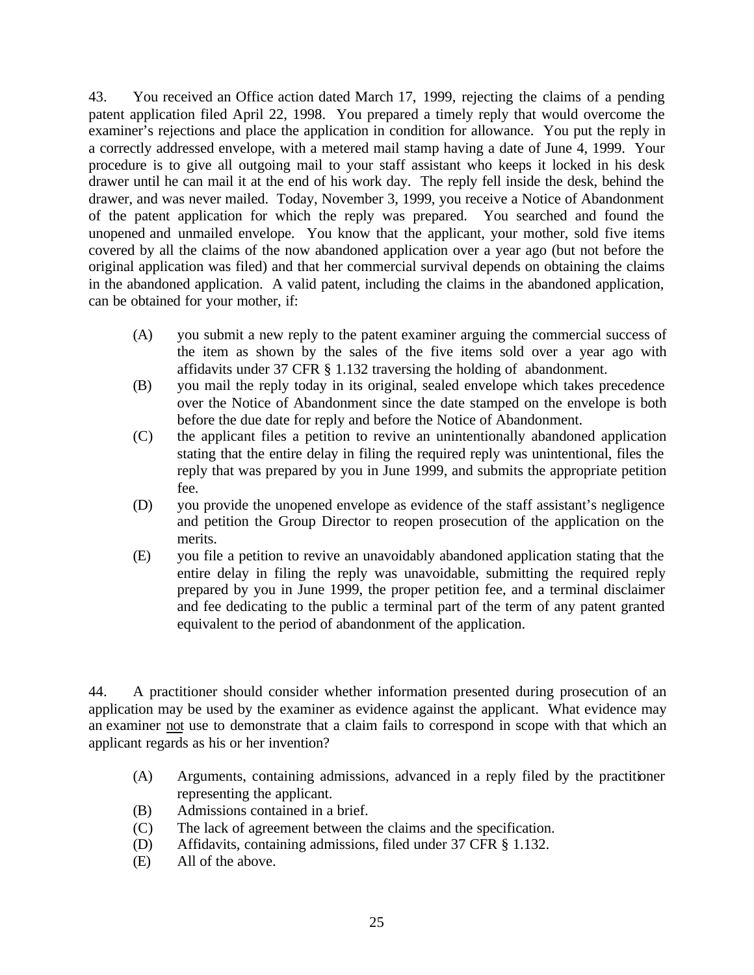43. You received an Office action dated March 17, 1999, rejecting the claims of a pending patent application filed April 22, 1998. You prepared a timely reply that would overcome the examiner's rejections and place the application in condition for allowance. You put the reply in a correctly addressed envelope, with a metered mail stamp having a date of June 4, 1999. Your procedure is to give all outgoing mail to your staff assistant who keeps it locked in his desk drawer until he can mail it at the end of his work day. The reply fell inside the desk, behind the drawer, and was never mailed. Today, November 3, 1999, you receive a Notice of Abandonment of the patent application for which the reply was prepared. You searched and found the unopened and unmailed envelope. You know that the applicant, your mother, sold five items covered by all the claims of the now abandoned application over a year ago (but not before the original application was filed) and that her commercial survival depends on obtaining the claims in the abandoned application. A valid patent, including the claims in the abandoned application, can be obtained for your mother, if:

- (A) you submit a new reply to the patent examiner arguing the commercial success of the item as shown by the sales of the five items sold over a year ago with affidavits under 37 CFR § 1.132 traversing the holding of abandonment.
- (B) you mail the reply today in its original, sealed envelope which takes precedence over the Notice of Abandonment since the date stamped on the envelope is both before the due date for reply and before the Notice of Abandonment.
- (C) the applicant files a petition to revive an unintentionally abandoned application stating that the entire delay in filing the required reply was unintentional, files the reply that was prepared by you in June 1999, and submits the appropriate petition fee.
- (D) you provide the unopened envelope as evidence of the staff assistant's negligence and petition the Group Director to reopen prosecution of the application on the merits.
- (E) you file a petition to revive an unavoidably abandoned application stating that the entire delay in filing the reply was unavoidable, submitting the required reply prepared by you in June 1999, the proper petition fee, and a terminal disclaimer and fee dedicating to the public a terminal part of the term of any patent granted equivalent to the period of abandonment of the application.

44. A practitioner should consider whether information presented during prosecution of an application may be used by the examiner as evidence against the applicant. What evidence may an examiner not use to demonstrate that a claim fails to correspond in scope with that which an applicant regards as his or her invention?

- (A) Arguments, containing admissions, advanced in a reply filed by the practitioner representing the applicant.
- (B) Admissions contained in a brief.
- (C) The lack of agreement between the claims and the specification.
- (D) Affidavits, containing admissions, filed under 37 CFR § 1.132.
- (E) All of the above.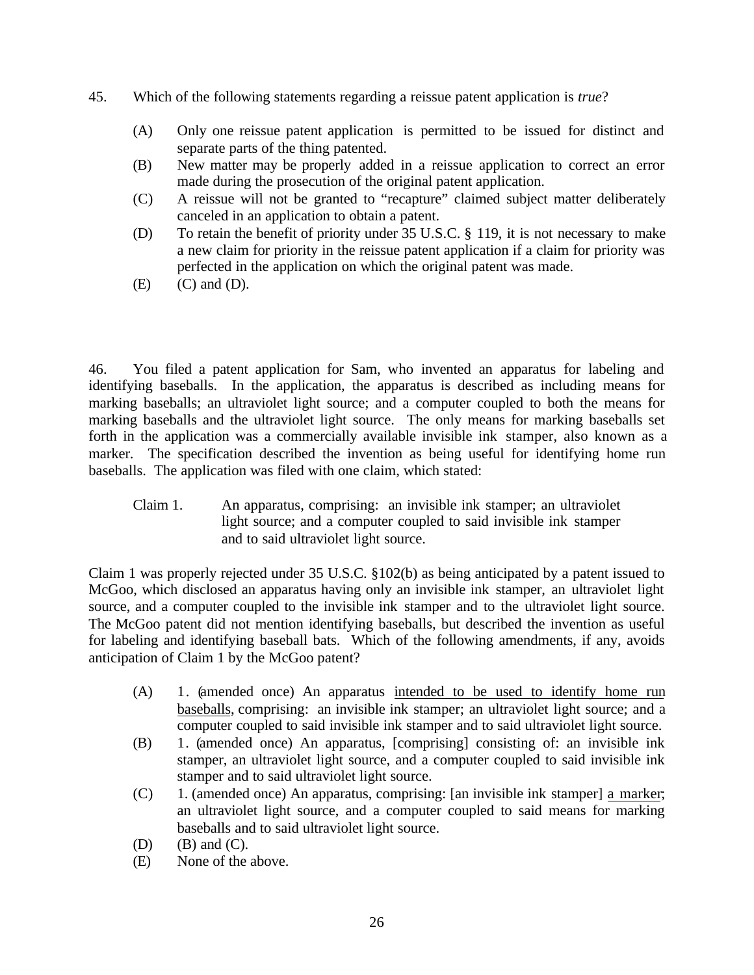- 45. Which of the following statements regarding a reissue patent application is *true*?
	- (A) Only one reissue patent application is permitted to be issued for distinct and separate parts of the thing patented.
	- (B) New matter may be properly added in a reissue application to correct an error made during the prosecution of the original patent application.
	- (C) A reissue will not be granted to "recapture" claimed subject matter deliberately canceled in an application to obtain a patent.
	- (D) To retain the benefit of priority under 35 U.S.C. § 119, it is not necessary to make a new claim for priority in the reissue patent application if a claim for priority was perfected in the application on which the original patent was made.
	- $(E)$   $(C)$  and  $(D)$ .

46. You filed a patent application for Sam, who invented an apparatus for labeling and identifying baseballs. In the application, the apparatus is described as including means for marking baseballs; an ultraviolet light source; and a computer coupled to both the means for marking baseballs and the ultraviolet light source. The only means for marking baseballs set forth in the application was a commercially available invisible ink stamper, also known as a marker. The specification described the invention as being useful for identifying home run baseballs. The application was filed with one claim, which stated:

Claim 1. An apparatus, comprising: an invisible ink stamper; an ultraviolet light source; and a computer coupled to said invisible ink stamper and to said ultraviolet light source.

Claim 1 was properly rejected under 35 U.S.C. §102(b) as being anticipated by a patent issued to McGoo, which disclosed an apparatus having only an invisible ink stamper, an ultraviolet light source, and a computer coupled to the invisible ink stamper and to the ultraviolet light source. The McGoo patent did not mention identifying baseballs, but described the invention as useful for labeling and identifying baseball bats. Which of the following amendments, if any, avoids anticipation of Claim 1 by the McGoo patent?

- (A) 1. (amended once) An apparatus intended to be used to identify home run baseballs, comprising: an invisible ink stamper; an ultraviolet light source; and a computer coupled to said invisible ink stamper and to said ultraviolet light source.
- (B) 1. (amended once) An apparatus, [comprising] consisting of: an invisible ink stamper, an ultraviolet light source, and a computer coupled to said invisible ink stamper and to said ultraviolet light source.
- (C) 1. (amended once) An apparatus, comprising: [an invisible ink stamper] a marker; an ultraviolet light source, and a computer coupled to said means for marking baseballs and to said ultraviolet light source.
- $(D)$   $(B)$  and  $(C)$ .
- (E) None of the above.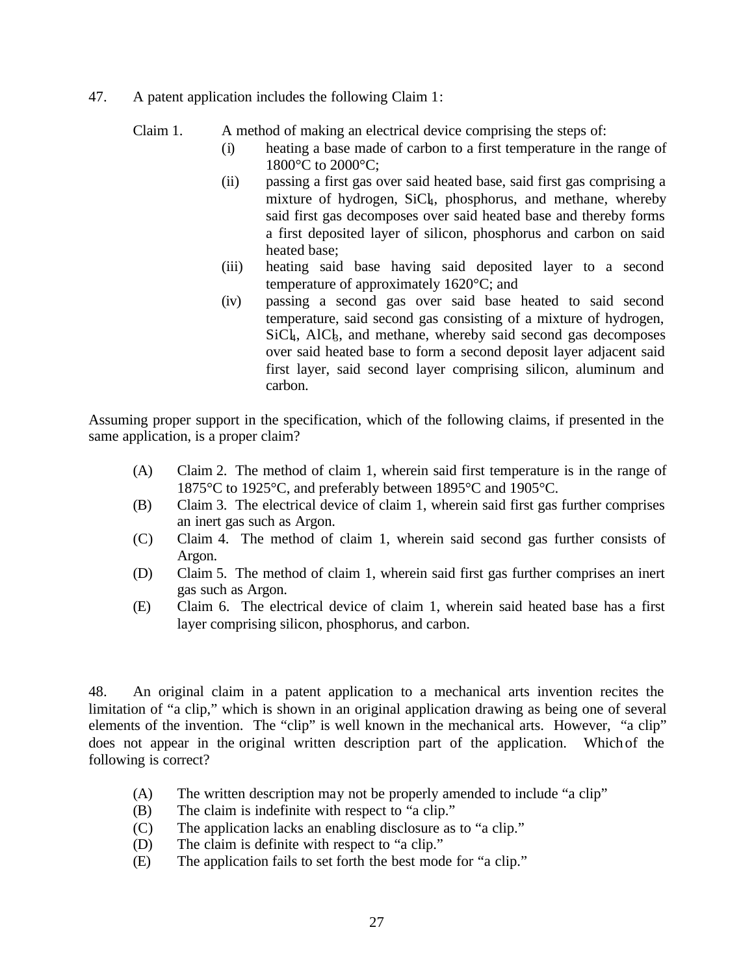47. A patent application includes the following Claim 1:

Claim 1. A method of making an electrical device comprising the steps of:

- (i) heating a base made of carbon to a first temperature in the range of 1800°C to 2000°C;
- (ii) passing a first gas over said heated base, said first gas comprising a mixture of hydrogen, SiCk, phosphorus, and methane, whereby said first gas decomposes over said heated base and thereby forms a first deposited layer of silicon, phosphorus and carbon on said heated base;
- (iii) heating said base having said deposited layer to a second temperature of approximately 1620°C; and
- (iv) passing a second gas over said base heated to said second temperature, said second gas consisting of a mixture of hydrogen,  $SiCl<sub>k</sub>$ , AlC<sub>k</sub>, and methane, whereby said second gas decomposes over said heated base to form a second deposit layer adjacent said first layer, said second layer comprising silicon, aluminum and carbon.

Assuming proper support in the specification, which of the following claims, if presented in the same application, is a proper claim?

- (A) Claim 2. The method of claim 1, wherein said first temperature is in the range of 1875°C to 1925°C, and preferably between 1895°C and 1905°C.
- (B) Claim 3. The electrical device of claim 1, wherein said first gas further comprises an inert gas such as Argon.
- (C) Claim 4. The method of claim 1, wherein said second gas further consists of Argon.
- (D) Claim 5. The method of claim 1, wherein said first gas further comprises an inert gas such as Argon.
- (E) Claim 6. The electrical device of claim 1, wherein said heated base has a first layer comprising silicon, phosphorus, and carbon.

48. An original claim in a patent application to a mechanical arts invention recites the limitation of "a clip," which is shown in an original application drawing as being one of several elements of the invention. The "clip" is well known in the mechanical arts. However, "a clip" does not appear in the original written description part of the application. Which of the following is correct?

- (A) The written description may not be properly amended to include "a clip"
- (B) The claim is indefinite with respect to "a clip."
- (C) The application lacks an enabling disclosure as to "a clip."
- (D) The claim is definite with respect to "a clip."
- (E) The application fails to set forth the best mode for "a clip."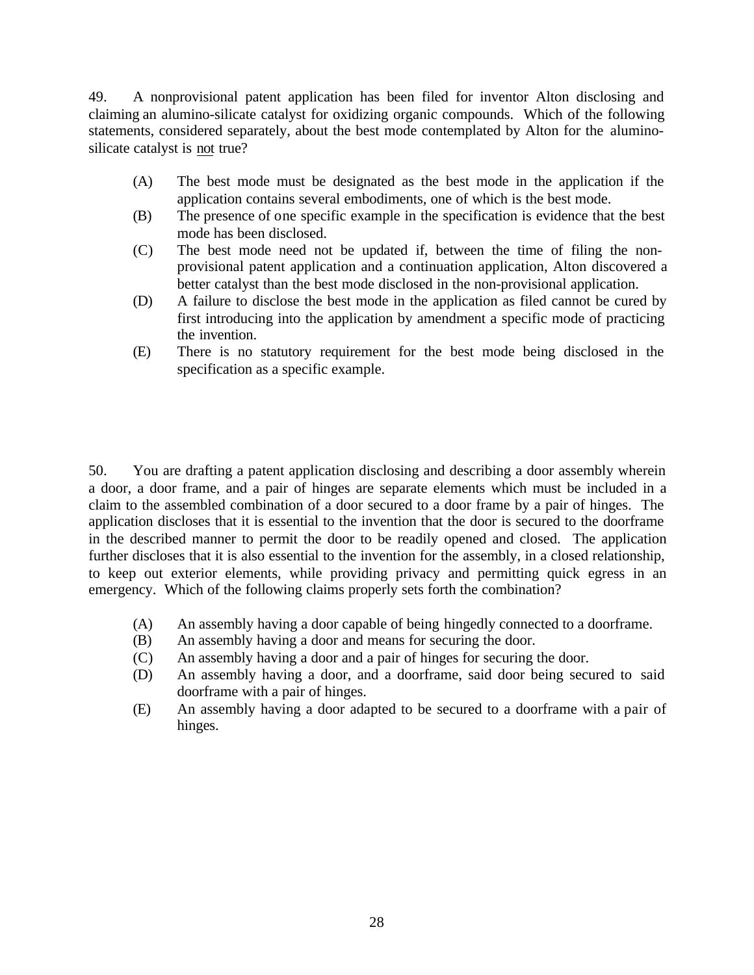49. A nonprovisional patent application has been filed for inventor Alton disclosing and claiming an alumino-silicate catalyst for oxidizing organic compounds. Which of the following statements, considered separately, about the best mode contemplated by Alton for the aluminosilicate catalyst is not true?

- (A) The best mode must be designated as the best mode in the application if the application contains several embodiments, one of which is the best mode.
- (B) The presence of one specific example in the specification is evidence that the best mode has been disclosed.
- (C) The best mode need not be updated if, between the time of filing the nonprovisional patent application and a continuation application, Alton discovered a better catalyst than the best mode disclosed in the non-provisional application.
- (D) A failure to disclose the best mode in the application as filed cannot be cured by first introducing into the application by amendment a specific mode of practicing the invention.
- (E) There is no statutory requirement for the best mode being disclosed in the specification as a specific example.

50. You are drafting a patent application disclosing and describing a door assembly wherein a door, a door frame, and a pair of hinges are separate elements which must be included in a claim to the assembled combination of a door secured to a door frame by a pair of hinges. The application discloses that it is essential to the invention that the door is secured to the doorframe in the described manner to permit the door to be readily opened and closed. The application further discloses that it is also essential to the invention for the assembly, in a closed relationship, to keep out exterior elements, while providing privacy and permitting quick egress in an emergency. Which of the following claims properly sets forth the combination?

- (A) An assembly having a door capable of being hingedly connected to a doorframe.
- (B) An assembly having a door and means for securing the door.
- (C) An assembly having a door and a pair of hinges for securing the door.
- (D) An assembly having a door, and a doorframe, said door being secured to said doorframe with a pair of hinges.
- (E) An assembly having a door adapted to be secured to a doorframe with a pair of hinges.